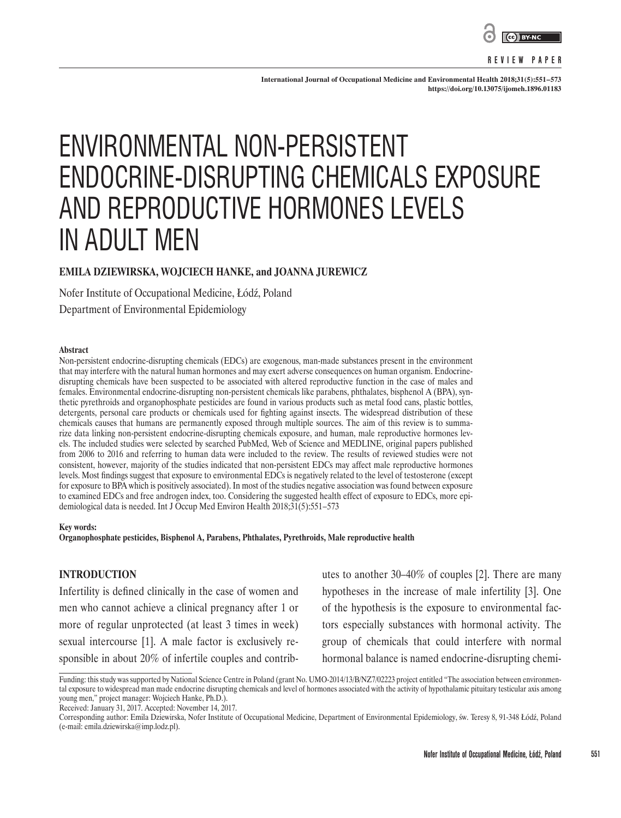

#### **REVIEW PAPER**

**International Journal of Occupational Medicine and Environmental Health 2018;31(5):551–573 <https://doi.org/10.13075/ijomeh.1896.01183>**

# ENVIRONMENTAL NON-PERSISTENT ENDOCRINE-DISRUPTING CHEMICALS EXPOSURE AND REPRODUCTIVE HORMONES LEVELS IN ADULT MEN

# **EMILA DZIEWIRSKA, WOJCIECH HANKE, and JOANNA JUREWICZ**

Nofer Institute of Occupational Medicine, Łódź, Poland

Department of Environmental Epidemiology

#### **Abstract**

Non-persistent endocrine-disrupting chemicals (EDCs) are exogenous, man-made substances present in the environment that may interfere with the natural human hormones and may exert adverse consequences on human organism. Endocrinedisrupting chemicals have been suspected to be associated with altered reproductive function in the case of males and females. Environmental endocrine-disrupting non-persistent chemicals like parabens, phthalates, bisphenol A (BPA), synthetic pyrethroids and organophosphate pesticides are found in various products such as metal food cans, plastic bottles, detergents, personal care products or chemicals used for fighting against insects. The widespread distribution of these chemicals causes that humans are permanently exposed through multiple sources. The aim of this review is to summarize data linking non-persistent endocrine-disrupting chemicals exposure, and human, male reproductive hormones levels. The included studies were selected by searched PubMed, Web of Science and MEDLINE, original papers published from 2006 to 2016 and referring to human data were included to the review. The results of reviewed studies were not consistent, however, majority of the studies indicated that non-persistent EDCs may affect male reproductive hormones levels. Most findings suggest that exposure to environmental EDCs is negatively related to the level of testosterone (except for exposure to BPA which is positively associated). In most of the studies negative association was found between exposure to examined EDCs and free androgen index, too. Considering the suggested health effect of exposure to EDCs, more epidemiological data is needed. Int J Occup Med Environ Health 2018;31(5):551–573

#### **Key words:**

**Organophosphate pesticides, Bisphenol A, Parabens, Phthalates, Pyrethroids, Male reproductive health**

# **INTRODUCTION**

Infertility is defined clinically in the case of women and men who cannot achieve a clinical pregnancy after 1 or more of regular unprotected (at least 3 times in week) sexual intercourse [1]. A male factor is exclusively responsible in about 20% of infertile couples and contrib-

utes to another 30–40% of couples [2]. There are many hypotheses in the increase of male infertility [3]. One of the hypothesis is the exposure to environmental factors especially substances with hormonal activity. The group of chemicals that could interfere with normal hormonal balance is named endocrine-disrupting chemi-

Received: January 31, 2017. Accepted: November 14, 2017.

Funding: this study was supported by National Science Centre in Poland (grant No. UMO-2014/13/B/NZ7/02223 project entitled "The association between environmental exposure to widespread man made endocrine disrupting chemicals and level of hormones associated with the activity of hypothalamic pituitary testicular axis among young men," project manager: Wojciech Hanke, Ph.D.).

Corresponding author: Emila Dziewirska, Nofer Institute of Occupational Medicine, Department of Environmental Epidemiology, św. Teresy 8, 91-348 Łódź, Poland (e-mail: emila.dziewirska@imp.lodz.pl).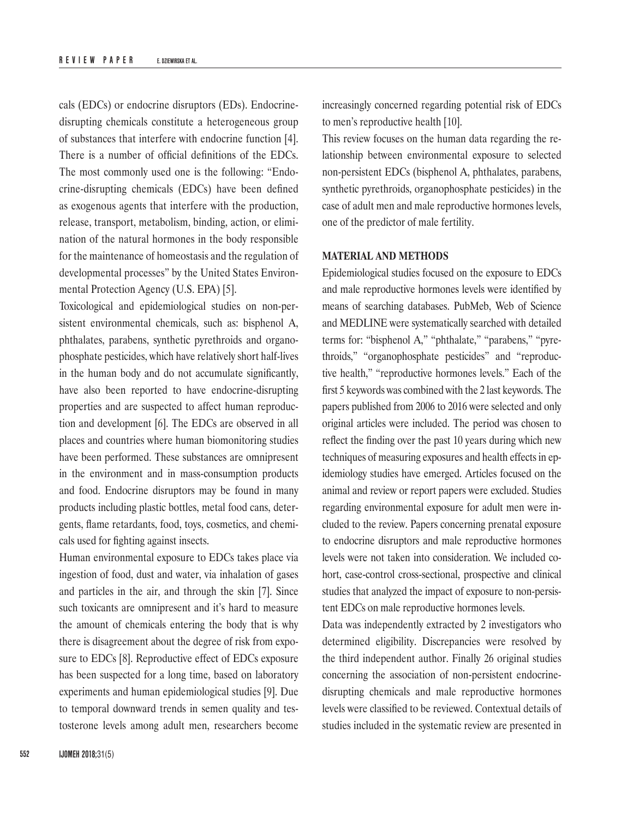cals (EDCs) or endocrine disruptors (EDs). Endocrinedisrupting chemicals constitute a heterogeneous group of substances that interfere with endocrine function [4]. There is a number of official definitions of the EDCs. The most commonly used one is the following: "Endocrine-disrupting chemicals (EDCs) have been defined as exogenous agents that interfere with the production, release, transport, metabolism, binding, action, or elimination of the natural hormones in the body responsible for the maintenance of homeostasis and the regulation of developmental processes" by the United States Environmental Protection Agency (U.S. EPA) [5].

Toxicological and epidemiological studies on non-persistent environmental chemicals, such as: bisphenol A, phthalates, parabens, synthetic pyrethroids and organophosphate pesticides, which have relatively short half-lives in the human body and do not accumulate significantly, have also been reported to have endocrine-disrupting properties and are suspected to affect human reproduction and development [6]. The EDCs are observed in all places and countries where human biomonitoring studies have been performed. These substances are omnipresent in the environment and in mass-consumption products and food. Endocrine disruptors may be found in many products including plastic bottles, metal food cans, detergents, flame retardants, food, toys, cosmetics, and chemicals used for fighting against insects.

Human environmental exposure to EDCs takes place via ingestion of food, dust and water, via inhalation of gases and particles in the air, and through the skin [7]. Since such toxicants are omnipresent and it's hard to measure the amount of chemicals entering the body that is why there is disagreement about the degree of risk from exposure to EDCs [8]. Reproductive effect of EDCs exposure has been suspected for a long time, based on laboratory experiments and human epidemiological studies [9]. Due to temporal downward trends in semen quality and testosterone levels among adult men, researchers become

**552 IJOMEH 2018;**31(5)

increasingly concerned regarding potential risk of EDCs to men's reproductive health [10].

This review focuses on the human data regarding the relationship between environmental exposure to selected non-persistent EDCs (bisphenol A, phthalates, parabens, synthetic pyrethroids, organophosphate pesticides) in the case of adult men and male reproductive hormones levels, one of the predictor of male fertility.

# **MATERIAL AND METHODS**

Epidemiological studies focused on the exposure to EDCs and male reproductive hormones levels were identified by means of searching databases. PubMeb, Web of Science and MEDLINE were systematically searched with detailed terms for: "bisphenol A," "phthalate," "parabens," "pyrethroids," "organophosphate pesticides" and "reproductive health," "reproductive hormones levels." Each of the first 5 keywords was combined with the 2 last keywords. The papers published from 2006 to 2016 were selected and only original articles were included. The period was chosen to reflect the finding over the past 10 years during which new techniques of measuring exposures and health effects in epidemiology studies have emerged. Articles focused on the animal and review or report papers were excluded. Studies regarding environmental exposure for adult men were included to the review. Papers concerning prenatal exposure to endocrine disruptors and male reproductive hormones levels were not taken into consideration. We included cohort, case-control cross-sectional, prospective and clinical studies that analyzed the impact of exposure to non-persistent EDCs on male reproductive hormones levels.

Data was independently extracted by 2 investigators who determined eligibility. Discrepancies were resolved by the third independent author. Finally 26 original studies concerning the association of non-persistent endocrinedisrupting chemicals and male reproductive hormones levels were classified to be reviewed. Contextual details of studies included in the systematic review are presented in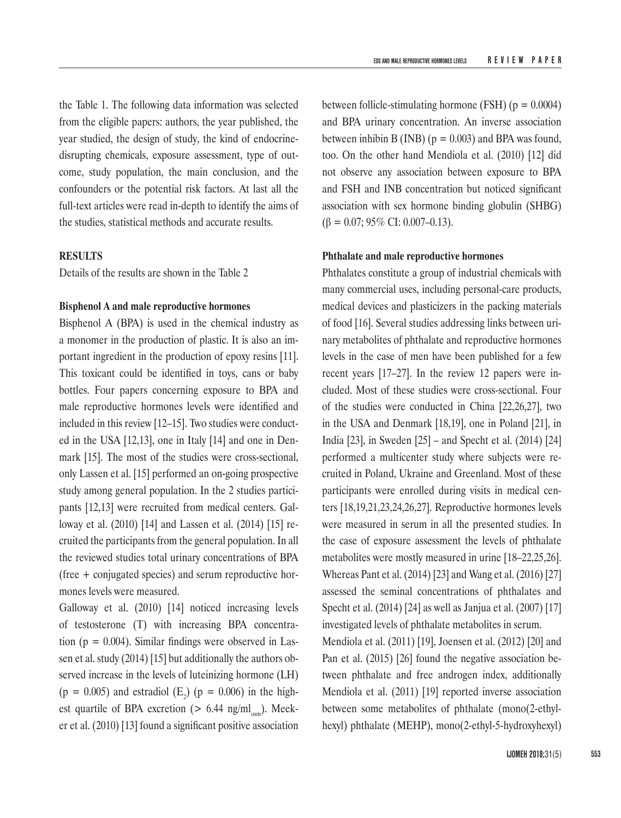the Table 1. The following data information was selected from the eligible papers: authors, the year published, the year studied, the design of study, the kind of endocrinedisrupting chemicals, exposure assessment, type of outcome, study population, the main conclusion, and the confounders or the potential risk factors. At last all the full-text articles were read in-depth to identify the aims of the studies, statistical methods and accurate results.

# **RESULTS**

Details of the results are shown in the Table 2

### **Bisphenol A and male reproductive hormones**

Bisphenol A (BPA) is used in the chemical industry as a monomer in the production of plastic. It is also an important ingredient in the production of epoxy resins [11]. This toxicant could be identified in toys, cans or baby bottles. Four papers concerning exposure to BPA and male reproductive hormones levels were identified and included in this review [12–15]. Two studies were conducted in the USA [12,13], one in Italy [14] and one in Denmark [15]. The most of the studies were cross-sectional, only Lassen et al. [15] performed an on-going prospective study among general population. In the 2 studies participants [12,13] were recruited from medical centers. Galloway et al. (2010) [14] and Lassen et al. (2014) [15] recruited the participants from the general population. In all the reviewed studies total urinary concentrations of BPA (free + conjugated species) and serum reproductive hormones levels were measured.

Galloway et al. (2010) [14] noticed increasing levels of testosterone (T) with increasing BPA concentration ( $p = 0.004$ ). Similar findings were observed in Lassen et al. study (2014) [15] but additionally the authors observed increase in the levels of luteinizing hormone (LH)  $(p = 0.005)$  and estradiol  $(E_2)$   $(p = 0.006)$  in the highest quartile of BPA excretion ( $> 6.44$  ng/ml<sub>osm</sub>). Meeker et al. (2010) [13] found a significant positive association between follicle-stimulating hormone (FSH) ( $p = 0.0004$ ) and BPA urinary concentration. An inverse association between inhibin B (INB) ( $p = 0.003$ ) and BPA was found, too. On the other hand Mendiola et al. (2010) [12] did not observe any association between exposure to BPA and FSH and INB concentration but noticed significant association with sex hormone binding globulin (SHBG)  $(\beta = 0.07; 95\% \text{ CI: } 0.007\text{-}0.13).$ 

# **Phthalate and male reproductive hormones**

Phthalates constitute a group of industrial chemicals with many commercial uses, including personal-care products, medical devices and plasticizers in the packing materials of food [16]. Several studies addressing links between urinary metabolites of phthalate and reproductive hormones levels in the case of men have been published for a few recent years [17–27]. In the review 12 papers were included. Most of these studies were cross-sectional. Four of the studies were conducted in China [22,26,27], two in the USA and Denmark [18,19], one in Poland [21], in India [23], in Sweden [25] – and Specht et al. (2014) [24] performed a multicenter study where subjects were recruited in Poland, Ukraine and Greenland. Most of these participants were enrolled during visits in medical centers [18,19,21,23,24,26,27]. Reproductive hormones levels were measured in serum in all the presented studies. In the case of exposure assessment the levels of phthalate metabolites were mostly measured in urine [18–22,25,26]. Whereas Pant et al. (2014) [23] and Wang et al. (2016) [27] assessed the seminal concentrations of phthalates and Specht et al. (2014) [24] as well as Janjua et al. (2007) [17] investigated levels of phthalate metabolites in serum.

Mendiola et al. (2011) [19], Joensen et al. (2012) [20] and Pan et al. (2015) [26] found the negative association between phthalate and free androgen index, additionally Mendiola et al. (2011) [19] reported inverse association between some metabolites of phthalate (mono(2-ethylhexyl) phthalate (MEHP), mono(2-ethyl-5-hydroxyhexyl)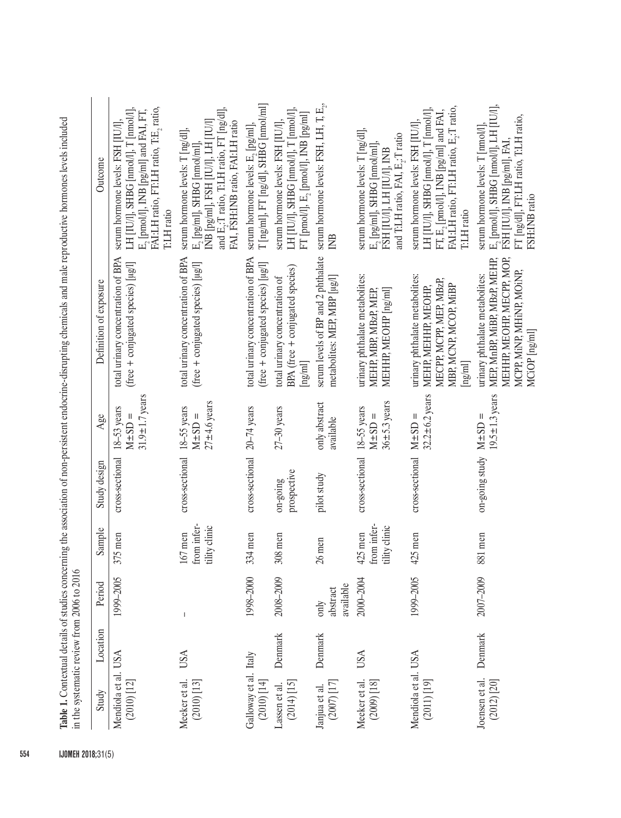| Study                                                        | Location | Period                        | Sample                                    | Study design            | Age                                                   | Definition of exposure                                                                                                                    | Outcome                                                                                                                                                                                   |
|--------------------------------------------------------------|----------|-------------------------------|-------------------------------------------|-------------------------|-------------------------------------------------------|-------------------------------------------------------------------------------------------------------------------------------------------|-------------------------------------------------------------------------------------------------------------------------------------------------------------------------------------------|
| Mendiola et al. USA<br>$\left( 2010\right) \left[ 12\right]$ |          | 1999-2005                     | 375 men                                   | cross-sectional         | $31.9 \pm 1.7$ years<br>$18-53$ years<br>$M \pm SD =$ | total urinary concentration of BPA<br>(free + conjugated species) [µg/]                                                                   | FÁLLH ratio, FT:LH ratio, T:E <sub>2</sub> ratio,<br>LH [IU/I], SHBG [nmol/l], T [nmol/l],<br>$E_2$ [pmol/l], INB [pg/ml] and FAI, FT,<br>serum hormone levels: FSH [IU/l],<br>T:LH ratio |
| Meeker et al.<br>$(2010)$ $[13]$                             | USA      | $\overline{1}$                | from infer-<br>tility clinic<br>$167$ men | cross-sectional         | $27\pm4.6$ years<br>$18-55$ years<br>$M \pm SD =$     | total urinary concentration of BPA<br>(free + conjugated species) [µg/l]                                                                  | and E,:T ratio, T:LH ratio, FT [ng/dl],<br>INB [pg/ml], FSH [IU/l], LH [IU/l]<br>FAI, FSH:INB ratio, FAI:LH ratio<br>serum hormone levels: T [ng/dl],<br>$E_2$ [pg/ml], SHBG [nmol/ml],   |
| Galloway et al. Italy<br>$(2010)$ $[14]$                     |          | 1998-2000                     | 334 men                                   | cross-sectional         | $20 - 74$ years                                       | total urinary concentration of BPA<br>(free + conjugated species) [µg/l]                                                                  | $T$ [ng/ml], $FT$ [ng/dl], $SH\overline{BG}$ [nmol/ml]<br>serum hormone levels: E, [pg/ml],                                                                                               |
| $(2014)$ [15]<br>Lassen et al.                               | Denmark  | 2008-2009                     | 308 men                                   | prospective<br>on-going | $27-30$ years                                         | BPA (free + conjugated species)<br>total urinary concentration of<br>$\lceil \text{ng/ml} \rceil$                                         | LH [IU/I], SHBG [nmol/l], T [nmol/l],<br>FT [pmol/l], E <sub>2</sub> [pmol/l], INB [pg/ml]<br>serum hormone levels: FSH [IU/l],                                                           |
| $(2007)$ [17]<br>Janjua et al.                               | Denmark  | available<br>abstract<br>only | $26$ men                                  | pilot study             | only abstract<br>available                            | serum levels of BP and 2 phthalate<br>metabolites: MEP, MBP [µg/l]                                                                        | serum hormone levels: FSH, LH, T, $\mathrm{E}_{x}$<br><b>INB</b>                                                                                                                          |
| Meeker et al.<br>$(2009)$ [18]                               | USA      | 2000-2004                     | from infer-<br>tility clinic<br>425 men   | cross-sectional         | $36 \pm 5.3$ years<br>18-55 years<br>$M \pm SD =$     | urinary phthalate metabolites:<br>MEHHP, MEOHP [ng/ml]<br>MEHP, MBP, MBzP, MEP,                                                           | serum hormone levels: T [ng/dl],<br>and T:LH ratio, FAI, E,:T ratio<br>$E_2$ [pg/ml], SHBG [nmol/ml],<br>FSH [IU/I], LH [IU/I], INB                                                       |
| Mendiola et al. USA<br>$(2011)$ $[19]$                       |          | 1999-2005                     | 425 men                                   | cross-sectional         | $32.2 \pm 6.2$ years<br>$M \pm SD =$                  | urinary phthalate metabolites:<br>MECPP, MCPP, MEP, MBzP,<br>MBP, MCNP, MCOP, MiBP<br>MEHP, MEHHP, MEOHP,<br>$\lceil \text{ng/ml} \rceil$ | FAI:LH ratio, FT:LH ratio, E <sub>2</sub> :T ratio,<br>LH [IU/l], SHBG [nmol/l], T [nmol/l],<br>FT, E, [pmol/l], INB [pg/ml] and FAI,<br>serum hormone levels: FSH [IU/l],<br>T:LH ratio  |
| Joensen et al.<br>$(2012)$ $[20]$                            | Denmark  | 2007-2009                     | 881 men                                   | on-going study          | $19.5 \pm 1.3$ years<br>$M \pm SD =$                  | MEHHP, MEOHP, MECPP, MOP,<br>MEP, MnBP, MiBP, MBzP, MEHP,<br>MCPP, MiNP, MHINP, MOINP,<br>urinary phthalate metabolites:<br>MCiOP [ng/ml] | $E_2$ [pmol/l], SHBG [nmol/l], LH [IU/l],<br>FT [ng/dl], FT:LH ratio, T:LH ratio,<br>serum hormone levels: T [nmol/l],<br>FSH [IU/I], INB [pg/ml], FAI,<br>FSH:INB ratio                  |

554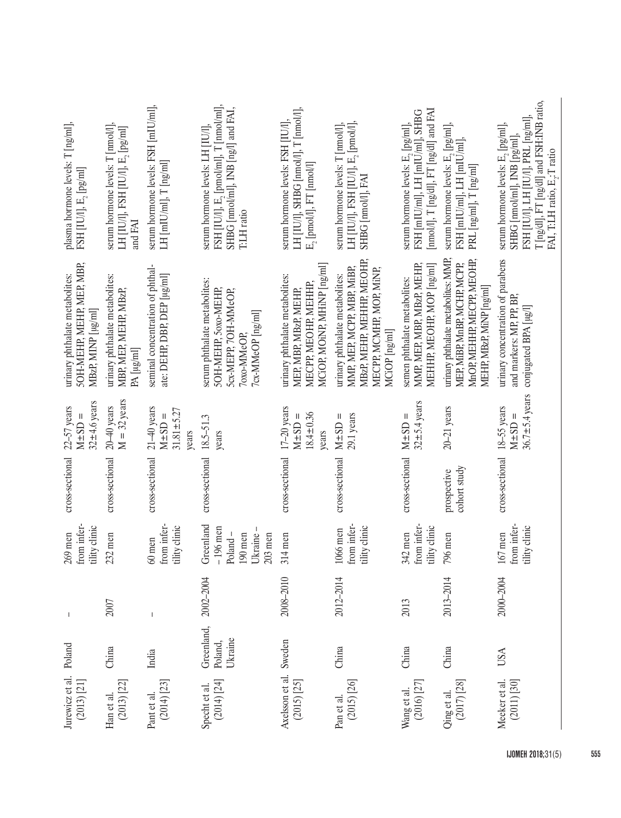| plasma hormone levels: T [ng/ml],<br>FSH [IU/l], E <sub>2</sub> [pg/ml]           | serum hormone levels: T [nmol/l],<br>LH [IU/l], FSH [IU/l], E <sub>2</sub> [pg/ml]<br>and FAI | serum hormone levels: FSH [mIU/ml],<br>$LH$ [mIU/ml], $T$ [ng/ml] | FSH [IU/l], $E_2$ [pmol/ml], T [nmol/ml],<br>SHBG [nmol/ml], INB [ng/l] and FAI,<br>serum hormone levels: LH [IU/l]<br>T:LH ratio | LH [IU/l], SHBG [nmol/l], T [nmol/l],<br>serum hormone levels: FSH [IU/l]<br>$E_2$ [pmol/l], $FT$ [nmol/l]     | serum hormone levels: T [nmol/l],<br>LH [IU/I], FSH [IU/I], E, [pmol/I],<br>SHBG [nmol/l], FAI                                         | [nmol/l], $T$ [ng/dl], $FT$ [ng/dl] and FAI<br>FSH [mIU/ml], LH [mIU/ml], SHBG<br>serum hormone levels: $\mathrm{E}_2\left[\mathrm{pg} /\mathrm{ml} \right]$ , | serum hormone levels: E <sub>2</sub> [pg/ml],<br>FSH [mIU/ml], LH [mIU/ml],<br>PRL [ng/ml], $T$ [ng/ml]                       | T [ng/dl], FT [ng/dl] and FSH:INB ratio,<br>$FSH$ [IU/I], LH [IU/I], PRL $\lceil n\alpha/m \rceil$ ,<br>serum hormone levels: $\mathrm{E}_2\left[\mathrm{pg} /\mathrm{ml} \right]$ ,<br>SHBG [nmol/ml], INB [pg/ml],<br>FAI, T:LH ratio, E <sub>2</sub> :T ratio |
|-----------------------------------------------------------------------------------|-----------------------------------------------------------------------------------------------|-------------------------------------------------------------------|-----------------------------------------------------------------------------------------------------------------------------------|----------------------------------------------------------------------------------------------------------------|----------------------------------------------------------------------------------------------------------------------------------------|----------------------------------------------------------------------------------------------------------------------------------------------------------------|-------------------------------------------------------------------------------------------------------------------------------|------------------------------------------------------------------------------------------------------------------------------------------------------------------------------------------------------------------------------------------------------------------|
| SOH-MEHP, MEHP, MEP, MBP,<br>urinary phthalate metabolites:<br>MBzP, MINP [µg/ml] | urinary phthalate metabolites:<br>MBP, MEP, MEHP, MBzP,<br>PA [µg/ml]                         | seminal concentration of phthal-<br>ate: DEHP, DBP, DEP [µg/ml]   | serum phthalate metabolites:<br><b>SOH-MEHP, SOXO-MEHP,</b><br>5cx-MEPP, 7OH-MMeOP,<br>7cx-MMeOP [ng/ml]<br>7oxo-MMeOP            | MCIOP, MOINP, MHINP [ng/ml]<br>urinary phthalate metabolites:<br>MECPP, MEOHP, MEHHP,<br>MEP, MBP, MBzP, MEHP, | MBzP, MEHP, MEHHP, MEOHP,<br>MMP, MEP, MCPP, MBP, MiBP,<br>MECPP, MCMHP, MOP, MiNP,<br>urinary phthalate metabolites:<br>MCiOP [ng/ml] | MEHHP, MEOHP, MOP [ng/ml]<br>MMP, MEP, MBP, MBzP, MEHP,<br>semen phthalate metabolites:                                                                        | urinary phthalate metabolites: MMP,<br>MnOP, MEHHP, MECPP, MEOHP,<br>MEP, MiBP, MnBP, MCHP, MCPP,<br>MEHP, MBzP, MiNP [ng/ml] | urinary concentration of parabens<br>and markers: MP, PP, BP,<br>conjugated BPA [µg/]                                                                                                                                                                            |
| $32\pm4.6$ years<br>$22-57$ years<br>$M \pm SD =$                                 | $M = 32$ years<br>$20 - 40$ years                                                             | $21 - 40$ years<br>$31.81 \pm 5.27$<br>$M \pm SD =$<br>years      | $18.5 - 51.3$<br>years                                                                                                            | $17-20$ years<br>$18.4 \pm 0.36$<br>$M \pm SD =$<br>years                                                      | 29.1 years<br>$\mathsf{II}$<br>$M \pm SD$                                                                                              | $32\pm5.4$ years<br>$M \pm SD =$                                                                                                                               | 20-21 years                                                                                                                   | $36.7 \pm 5.4$ years<br>$\mathsf{I}$<br>$M \pm SD$                                                                                                                                                                                                               |
| cross-sectional                                                                   | cross-sectional                                                                               | cross-sectional                                                   | cross-sectional                                                                                                                   | cross-sectional                                                                                                | cross-sectional                                                                                                                        | cross-sectional                                                                                                                                                | cohort study<br>prospective                                                                                                   | cross-sectional 18-55 years                                                                                                                                                                                                                                      |
| from infer-<br>tility clinic<br>$269$ men                                         | $232$ men                                                                                     | from infer-<br>tility clinic<br>$60$ men                          | Greenland<br>$-196$ men<br>Poland-<br>$190$ men<br>Ukraine<br>$203$ men                                                           | $314$ men                                                                                                      | from infer-<br>tility clinic<br>1066 men                                                                                               | from infer-<br>tility clinic<br>$342$ men                                                                                                                      | 796 men                                                                                                                       | from infer-<br>tility clinic<br>$167$ men                                                                                                                                                                                                                        |
| I                                                                                 | 2007                                                                                          |                                                                   | 2002-2004                                                                                                                         | 2008-2010                                                                                                      | 2012-2014                                                                                                                              | 2013                                                                                                                                                           | 2013-2014                                                                                                                     | 2000-2004                                                                                                                                                                                                                                                        |
|                                                                                   | China                                                                                         | India                                                             | Greenland,<br>Ukraine<br>Poland,                                                                                                  |                                                                                                                | China                                                                                                                                  | China                                                                                                                                                          | China                                                                                                                         | USA                                                                                                                                                                                                                                                              |
| Jurewicz et al. Poland<br>$(2013)$ $[21]$                                         | $(2013)$ $[22]$<br>Han et al.                                                                 | $(2014)$ $[23]$<br>Pant et al.                                    | $(2014)$ $[24]$<br>Specht et al.                                                                                                  | Axelsson et al. Sweden<br>$(2015)$ $[25]$                                                                      | $(2015)$ $[26]$<br>Pan et al.                                                                                                          | Wang et al.<br>(2016) $[27]$                                                                                                                                   | Oing et al.<br>(2017) [28]                                                                                                    | $(2011)$ $[30]$<br>Meeker et al                                                                                                                                                                                                                                  |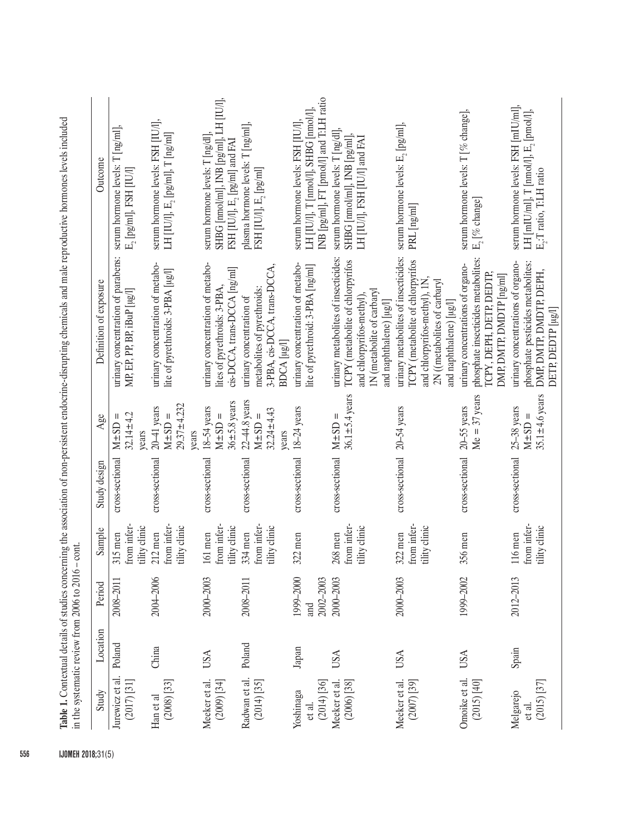| Study                                  | Location   | Period                        | Sample                                   | Study design                              | Age                                                         | Definition of exposure                                                                                                                                                     | Outcome                                                                                                                  |
|----------------------------------------|------------|-------------------------------|------------------------------------------|-------------------------------------------|-------------------------------------------------------------|----------------------------------------------------------------------------------------------------------------------------------------------------------------------------|--------------------------------------------------------------------------------------------------------------------------|
| Jurewicz et al.<br>$(2017)$ [31]       | Poland     | 2008-2011                     | from infer-<br>ility clinic<br>$315$ men | cross-sectional                           | $32.14 \pm 4.2$<br>$M \pm SD =$<br>years                    | urinary concentration of parabens:<br>MP, EP, PP, BP, iBuP [µg/l]                                                                                                          | serum hormone levels: T [ng/ml],<br>$E_2$ [pg/ml], FSH [IU/l]                                                            |
| $(2008)$ $[33]$<br>Han et al           | China      | 2004-2006                     | from infer-<br>ility clinic<br>$212$ men | cross-sectional                           | $29.37 + 4.232$<br>$20 - 41$ years<br>$M \pm SD =$<br>years | urinary concentration of metabo-<br>lite of pyrethroids: 3-PBA [µg/l]                                                                                                      | serum hormone levels: FSH [IU/l],<br>LH [IU/I], E <sub>2</sub> [pg/ml], T [ng/ml]                                        |
| $(2009)$ $[34]$<br>Meeker et al.       | USA        | 2000-2003                     | from infer-<br>tility clinic<br>161 men  | cross-sectional                           | $36 + 5.8$ years<br>18-54 years<br>$M \pm SD =$             | urinary concentration of metabo-<br>cis-DCCA, trans-DCCA [ng/ml]<br>lites of pyrethroids: 3-PBA.                                                                           | SHBG [nmol/ml], INB [pg/ml], LH [IU/l],<br>serum hormone levels: T [ng/d]<br>FSH [IU/I], E <sub>2</sub> [pg/ml] and FAI  |
| Radwan et al.<br>$(2014)$ $[35]$       | Poland     | 2008-2011                     | from infer-<br>ility clinic<br>334 men   | cross-sectional                           | 22-44.8 years<br>$32.24 \pm 4.43$<br>$M \pm SD =$<br>years  | 3-PBA, cis-DCCA, trans-DCCA,<br>metabolites of pyrethroids:<br>urinary concentration of<br>BDCA [µg/]                                                                      | plasma hormone levels: T [ng/ml],<br>FSH [IU/l], $\mathrm{E}_{2}$ [pg/ml]                                                |
| $(2014)$ $[36]$<br>Yoshinaga<br>et al. | Japan      | 1999-2000<br>2002-2003<br>and | 322 men                                  | cross-sectional                           | 18-24 years                                                 | urinary concentration of metabo-<br>lite of pyrethroid: 3-PBA [ng/ml]                                                                                                      | INB [pg/ml], FT [pmol/l] and T:LH ratio<br>LH [IU/I], T [nmol/l], SHBG [nmol/l]<br>serum hormone levels: FSH [IU/l],     |
| $(2006)$ $[38]$<br>Meeker et al        | USA        | 2000-2003                     | from infer-<br>tility clinic<br>268 men  | cross-sectional                           | $36.1 \pm 5.4$ years<br>$M \pm SD =$                        | urinary metabolites of insecticides:<br>TCPY (metabolite of chlorpyrifos<br>1N (metabolite of carbaryl<br>and chlorpyrifos-methyl)<br>and naphthalene) [µg/l]              | serum hormone levels: T [ng/dl]<br>SHBG [nmol/ml], INB [pg/ml],<br>LH [IU/I], FSH [IU/I] and FAI                         |
| Meeker et al.<br>$(2007)$ [39]         | <b>USA</b> | 2000-2003                     | irom infer-<br>ility clinic<br>322 men   | $\frac{1}{2}$ cross-sectional 20–54 years |                                                             | urinary metabolites of insecticides:<br><b>TCPY</b> (metabolite of chlorpyrifos<br>2N ((metabolites of carbaryl<br>and chlorpyrifos-methyl), 1N<br>and naphthalene) [µg/l] | serum hormone levels: $E_2$ [pg/ml],<br>PRL [ng/ml]                                                                      |
| Omoike et al.<br>$(2015)$ $[40]$       | USA        | 1999-2002                     | 356 men                                  | cross-sectional                           | $Me = 37$ years<br>$20 - 55$ years                          | phosphate insecticides metabolites:<br>urinary concentrations of organo-<br>TCPY, DEPH, DETP, DEDTP,<br>DMP, DMTP, DMDTP [ng/ml]                                           | serum hormone levels: T [% change],<br>$\mathbb{E}_1$ [% change]                                                         |
| $(2015)$ $[37]$<br>Melgarejo<br>et al. | Spain      | 2012-2013                     | rom infer-<br>ility clinic<br>116 men    | cross-sectional                           | 35.1 $\pm$ 4.6 years<br>25-38 years<br>$M \pm SD =$         | phosphate pesticides metabolites:<br>urinary concentrations of organo-<br>DMP, DMTP, DMDTP, DEPH,<br>DETP, DEDTP [µg/]                                                     | serum hormone levels: FSH [mIU/ml],<br>LH [mIU/ml], $T$ [nmol/l], $E_2$ [pmol/l],<br>E <sub>2</sub> :T ratio, T:LH ratio |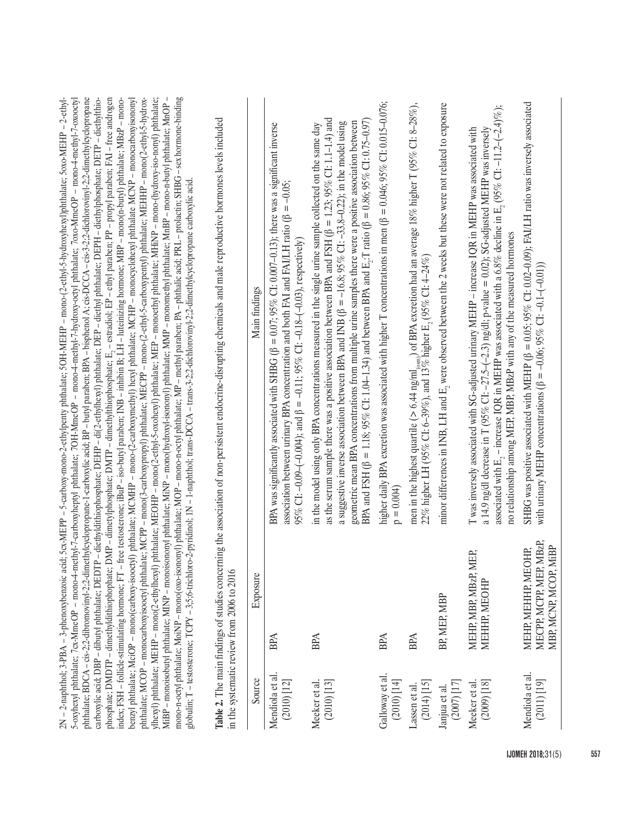| mono-n-octyl phthalate; MoiNP - mono(oxo-isononyl) phthalate; MOP - mono-n-octyl phthalate; MP - methyl paraben; PA - phthalic acid; PRL - prolactin; SHBG - sex hormone-binding<br>5-oxyhexyl phthalate; 7cx-MmeOP - mono-4-methyl-7-carboxyheptyl phthalate; 7OH-MmeOP - mono-4-methyl-7-hydroxy-octyl phthalate; 7oxo-MmeOP - mono-4-methyl-7-oxooctyl<br>2N - 2-naphthol; 3-PBA - 3-phenoxybenzoic acid; 5cx-MEPP - 5-carboxy-mono-2-ethylpenty phthalate; 5OH-MEHP - mono-(2-ethyl-5-hydroxyhexyl)phthalate; 5oxo-MEHP - 2-ethyl-<br>phthalate; BDCA-cis-2;2-dibromovinyl-2;2-dimethylcyclopropane-1-carboxylic acid; BP-butyl paraben; BPA-bisphenol A; cis-DCCA-cis-3-2;2-dichlorovinyl-2;2-dimethylcyclopropane<br>carboxylic acid; DBP - dibutyl phthalate; DEDTP - diethyldithiophosphate; DEHP - di(2-ethylhexyl) phthalate; DEP - diethyl phthalate; DEPH - diethylphosphate; DETP - diethylthio-<br>phosphate; DMDTP - dimethyldithiophophate; DMP - dimetylphosphate; DMTP - dimethylthiophosphate; E, - estradiol; EP - ethyl paraben; PP - propyl paraben; FAI - free androgen<br>phthalate; MCOP - monocarboxyisooctyl phthalate; MCPP - mono(3-carboxypropyl) phthalate; MECPP - mono-(2-ethyl-5-carboxypentyl) phthalate; MEHHP - mono(2-ethyl-5-hydrox-<br>ylhexyl) phthalate; MEHP - mono(2-ethylhexyl) phthalate; MEOHP - mono(2-ethyl-5-oxohexyl) phthalate; MEP - monoethyl phthalate; MHNP - mono-(hydroxy-iso-nonyl) phthalate;<br>free testosterone; iBuP - iso-butyl paraben; INB - inhibin B; LH - luteinizing hormone; MBP - mono(n-butyl) phthalate; MBzP - mono-<br>benzyl phthalate; MciOP – mono(carboxy-isooctyl) phthalate; MCMHP – mono-(2-carboxymethyl) hexyl phthalate; MCHP – monocyclohexyl phthalate MCNP – monocarboxyisononyl<br>MiBP – monoisobutyl phthalate; MINP – monoisononyl phthalate; MiNP – mono(hydroxyl-isononyl) phthalate; MMP – monomethyl phthalate; MnBP – mono-n-butyl phthalate; MnOP –<br>Table 2. The main findings of studies concerning the association of non-persistent endocrine-disrupting chemicals and male reproductive hormones levels included<br>globulin; T - testosterone; TCPY - 3;5;6-trichloro-2-pyridinoi; 1N - 1-naphthoi; trans-DCCA - trans-3-2;2-dichlorovinyl-2;2-dimethylcyclopropane carboxylic acid. | Main findings | BPA was significantly associated with SHBG ( $\beta = 0.07$ ; 95% C1: 0.007-0.13); there was a significant inverse<br>association between urinary BPA concentration and both FAI and FAI/LH ratio ( $\beta = -0.05$ ;<br>95% CI: -0.09-(-0.004); and $\beta = -0.11$ ; 95% CI: -0.18-(-0.03), respectively) | as the serum sample there was a positive association between BPA and FSH ( $\beta = 1.23$ ; 95% CI: 1.1-1.4) and<br>BPA and FSH (β = 1.18; 95% CI: 1.04–1.34) and between BPA and E <sub>3</sub> :T ratio (β = 0.86; 95% CI: 0.75–0.97)<br>geometric mean BPA concentrations from multiple urine samples there were a positive association between<br>a suggestive inverse association between BPA and INB ( $\beta = -16.8$ ; 95% CI: -33.8-0.22); in the model using<br>in the model using only BPA concentrations measured in the single urine sample collected on the same day | higher daily BPA excretion was associated with higher T concentrations in men ( $\beta = 0.046$ ; 95% CI: 0.015-0.076;<br>$p = 0.004$ | men in the highest quartile (> 6.44 ng/ml <sub>(ssm</sub> ) of BPA excretion had an average 18% higher T (95% CI: 8-28%),<br>22% higher LH (95% CI: 6-39%), and 13% higher E <sub>2</sub> (95% CI: 4-24%) | minor differences in INB, LH and E <sub>2</sub> were observed between the 2 weeks but these were not related to exposure | associated with E <sub>2</sub> – increase IQR in MEHP was associated with a 6.8% decline in E <sub>2</sub> (95% CI: -11.2-(-2.4)%);<br>a 14.9 ng/dl decrease in T (95% C1: -27.5-(-2.3) ng/dl; p-value = 0.02); SG-adjusted MEHP was inversely<br>T was inversely associated with SG-adjusted urinary MEHP - increase IQR in MEHP was associated with<br>no relationship among MEP, MBP, MBzP with any of the measured hormones | SHBG was positive associated with MEHP (β = 0.05; 95% CI: 0.02-0.09); FAI/LH ratio was inversely associated<br>with urinary MEHP concentrations ( $\beta$ = -0.06; 95% CI: -0.1-(-0.01)) |
|--------------------------------------------------------------------------------------------------------------------------------------------------------------------------------------------------------------------------------------------------------------------------------------------------------------------------------------------------------------------------------------------------------------------------------------------------------------------------------------------------------------------------------------------------------------------------------------------------------------------------------------------------------------------------------------------------------------------------------------------------------------------------------------------------------------------------------------------------------------------------------------------------------------------------------------------------------------------------------------------------------------------------------------------------------------------------------------------------------------------------------------------------------------------------------------------------------------------------------------------------------------------------------------------------------------------------------------------------------------------------------------------------------------------------------------------------------------------------------------------------------------------------------------------------------------------------------------------------------------------------------------------------------------------------------------------------------------------------------------------------------------------------------------------------------------------------------------------------------------------------------------------------------------------------------------------------------------------------------------------------------------------------------------------------------------------------------------------------------------------------------------------------------------------------------------------------------------------------------------------------------------------------------------------------|---------------|-------------------------------------------------------------------------------------------------------------------------------------------------------------------------------------------------------------------------------------------------------------------------------------------------------------|------------------------------------------------------------------------------------------------------------------------------------------------------------------------------------------------------------------------------------------------------------------------------------------------------------------------------------------------------------------------------------------------------------------------------------------------------------------------------------------------------------------------------------------------------------------------------------|---------------------------------------------------------------------------------------------------------------------------------------|-----------------------------------------------------------------------------------------------------------------------------------------------------------------------------------------------------------|--------------------------------------------------------------------------------------------------------------------------|---------------------------------------------------------------------------------------------------------------------------------------------------------------------------------------------------------------------------------------------------------------------------------------------------------------------------------------------------------------------------------------------------------------------------------|------------------------------------------------------------------------------------------------------------------------------------------------------------------------------------------|
| index; FSH - follicle-stimulating hormone; FT - !<br>in the systematic review from 2006 to 2016                                                                                                                                                                                                                                                                                                                                                                                                                                                                                                                                                                                                                                                                                                                                                                                                                                                                                                                                                                                                                                                                                                                                                                                                                                                                                                                                                                                                                                                                                                                                                                                                                                                                                                                                                                                                                                                                                                                                                                                                                                                                                                                                                                                                  | Exposure      | <b>BPA</b>                                                                                                                                                                                                                                                                                                  | <b>BPA</b>                                                                                                                                                                                                                                                                                                                                                                                                                                                                                                                                                                         | <b>BPA</b>                                                                                                                            | <b>BPA</b>                                                                                                                                                                                                | BP, MEP, MBP                                                                                                             | EP,<br>MEHP, MBP, MBzP, M<br><b>MEHHP, MEOHP</b>                                                                                                                                                                                                                                                                                                                                                                                | MECPP, MCPP, MEP, MBzP,<br>MBP, MCNP, MCOP, MiBP<br>MEHP, MEHHP, MEOHP,                                                                                                                  |
|                                                                                                                                                                                                                                                                                                                                                                                                                                                                                                                                                                                                                                                                                                                                                                                                                                                                                                                                                                                                                                                                                                                                                                                                                                                                                                                                                                                                                                                                                                                                                                                                                                                                                                                                                                                                                                                                                                                                                                                                                                                                                                                                                                                                                                                                                                  | Source        | Mendiola et al.<br>$(2010)$ [12]                                                                                                                                                                                                                                                                            | Meeker et al.<br>(2010) [13]                                                                                                                                                                                                                                                                                                                                                                                                                                                                                                                                                       | Galloway et al.<br>$(2010)$ [14]                                                                                                      | $(2014)$ [15]<br>Lassen et al.                                                                                                                                                                            | Janjua et al.<br>(2007) [17]                                                                                             | $(2009)$ $[18]$<br>Meeker et al.                                                                                                                                                                                                                                                                                                                                                                                                | Mendiola et al.<br>$(2011)$ [19]                                                                                                                                                         |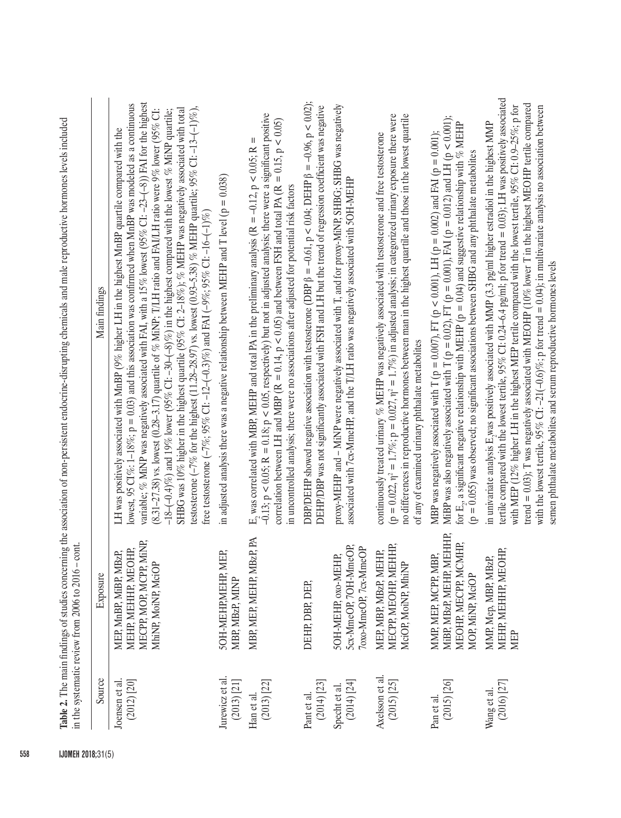|                                    | in the systematic review from $2006$ to $2016 -$ cont.                                           | respectively the main image of the association of the concentration of the concentration of the concentration of the concentration of the concentration of the concentration of the concentration of the concentration of the                                                                                                                                                                                                                                                                                                                                                                                                                                                                                                                                                                                                                                                           |
|------------------------------------|--------------------------------------------------------------------------------------------------|-----------------------------------------------------------------------------------------------------------------------------------------------------------------------------------------------------------------------------------------------------------------------------------------------------------------------------------------------------------------------------------------------------------------------------------------------------------------------------------------------------------------------------------------------------------------------------------------------------------------------------------------------------------------------------------------------------------------------------------------------------------------------------------------------------------------------------------------------------------------------------------------|
| Source                             | Exposure                                                                                         | Main findings                                                                                                                                                                                                                                                                                                                                                                                                                                                                                                                                                                                                                                                                                                                                                                                                                                                                           |
| Joensen et al.<br>$(2012)$ $[20]$  | MECPP, MOP, MCPP, MiNP,<br>MEHP, MEHHP, MEOHP,<br>MEP, MnBP, MiBP, MBzP,<br>MhiNP, MoiNP, MciOP  | variable; % MINP was negatively associated with FAI, with a 15% lowest (95% C1: -23-(-8)) FAI for the highest<br>lowest, 95 CI%: 1-18%; $p = 0.03$ ) and this association was confirmed when MnBP was modeled as a continuous<br>testosterone (-7% for the highest (11.28-28.97) vs. lowest (0.93-5.38) % MEHP quartile; 95% C1:-13-(-1)%),<br>SHBG was 10% higher in the highest quartile (95% CI: 2-18%); % MEHP was negatively associated with total<br>$(8.31-27.38)$ vs. lowest $(0.28-3.17)$ quartile of % MiNP; T/LH ratio and FAI/LH ratio were 9% lower (95% CI:<br>$-18$ -( $-0.4$ )%) and 19% lower (95% CI: -30-( $-8$ )%) in the highest compared with the lowest % MiNP quartile;<br>LH was positively associated with MnBP (9% higher LH in the highest MnBP quartile compared with the<br>free testosterone (-7%; 95% CI: -12-(-0.3)%) and FAI (-9%; 95% CI: -16-(-1)%) |
| Jurewicz et al.<br>(2013) [21]     | 5OH-MEHP, MEHP, MEP,<br>MBP, MBzP, MINP                                                          | in adjusted analysis there was a negative relationship between MEHP and T level ( $p = 0.038$ )                                                                                                                                                                                                                                                                                                                                                                                                                                                                                                                                                                                                                                                                                                                                                                                         |
| $(2013)$ $[22]$<br>Han et al.      | MBP, MEP, MEHP, MBzP, PA                                                                         | $-0.13$ ; p < 0.05; R = 0.18; p < 0.05, respectively) but not in adjusted analysis; there were a significant positive<br>correlation between LH and MBP ( $R = 0.14$ , $p < 0.05$ ) and between FSH and total PA ( $R = 0.15$ , $p < 0.05$ )<br>E, was correlated with MBP, MEHP and total PA in the preliminary analysis ( $R = -0.12$ , $p < 0.05$ ; $R =$<br>in uncontrolled analysis; there were no associations after adjusted for potential risk factors                                                                                                                                                                                                                                                                                                                                                                                                                          |
| $(2014)$ $[23]$<br>Pant et al.     | DEHP, DBP, DEP,                                                                                  | DBP/DEHP showed negative association with testosterone (DBP $\beta = -0.61$ , p < 0.04; DEHP $\beta = -0.96$ , p < 0.02);<br>DEHP/DBP was not significantly associated with FSH and LH but the trend of regression coefficient was negative                                                                                                                                                                                                                                                                                                                                                                                                                                                                                                                                                                                                                                             |
| $(2014)$ $[24]$<br>Specht et al.   | 5cx-MmeOP, 7OH-MmeOP,<br>7oxo-MmeOP, 7cx-MmeOP<br>5OH-MEHP, oxo-MEHP,                            | proxy-MEHP and - MiNP were negatively associated with T, and for proxy-MiNP, SHBG; SHBG was negatively<br>associated with 7cx-MmeHP, and the T/LH ratio was negatively associated with 5OH-MEHP                                                                                                                                                                                                                                                                                                                                                                                                                                                                                                                                                                                                                                                                                         |
| Axelsson et al.<br>$(2015)$ $[25]$ | MECPP, MEOHP, MEHHP,<br>MEP, MBP, MBzP, MEHP,<br>MciOP, MoiNP, MhiNP                             | (p = 0.022, $\eta^2$ = 1.7%; p = 0.027, $\eta^2$ = 1.7%) in adjusted analysis; in categorized urinary exposure there were<br>no differences in reproductive hormones between man in the highest quartile and those in the lowest quartile<br>continuously treated urinary % MEHP was negatively associated with testosterone and free testosterone<br>of any of examined urinary phthalate metabolites                                                                                                                                                                                                                                                                                                                                                                                                                                                                                  |
| $(2015)$ $[26]$<br>Pan et al.      | EHHP,<br>MEOHP, MECPP, MCMHP,<br>MMP, MEP, MCPP, MBP,<br>MiBP, MBzP, MEHP, M<br>MOP, MiNP, MciOP | MiBP was also negatively associated with T ( $p = 0.02$ ), FT ( $p = 0.001$ ), FAI ( $p = 0.012$ ) and LH ( $p < 0.001$ );<br>for $E_p$ a significant negative relationship with MEHP (p = 0.04) and suggestive relationship with % MEHP<br>MBP was negatively associated with T ( $p = 0.007$ ), FT ( $p < 0.001$ ), LH ( $p = 0.002$ ) and FAI ( $p = 0.001$ );<br>(p = 0.055) was observed; no significant associations between SHBG and any phthalate metabolites                                                                                                                                                                                                                                                                                                                                                                                                                   |
| $(2016)$ $[27]$<br>Wang et al.     | MEHP, MEHHP, MEOHP,<br>MMP, Mep, MBP, MBzP,<br>MEP                                               | tertile compared with the lowest tertile, 95% CI: 0.24-6.4 pg/ml; p for trend = 0.03); LH was positively associated<br>trend = 0.03); T was negatively associated with MEOHP (10% lower T in the highest MEOHP tertile compared<br>with MEP (12% higher LH in the highest MEP tertile compared with the lowest tertile, 95% CI: 0.9-25%; p for<br>with the lowest tertile, 95% CI: -21(-0.6)%; p for trend = 0.04); in multivariate analysis no association between<br>in univariate analysis E, was positively associated with MMP (3.3 pg/ml higher estradiol in the highest MMP<br>semen phthalate metabolites and serum reproductive hormones levels                                                                                                                                                                                                                                |

**Table 2.** The main findings of studies concerning the association of non-nersistent endocrine-disrupting chemicals and male reproductive hormones levels included **Table 2.** The main findings of studies concerning the association of non-persistent endocrine-disrupting chemicals and male reproductive hormones levels included

| 558 |  | <b>IJOMEH 2018;31(5)</b> |
|-----|--|--------------------------|
|-----|--|--------------------------|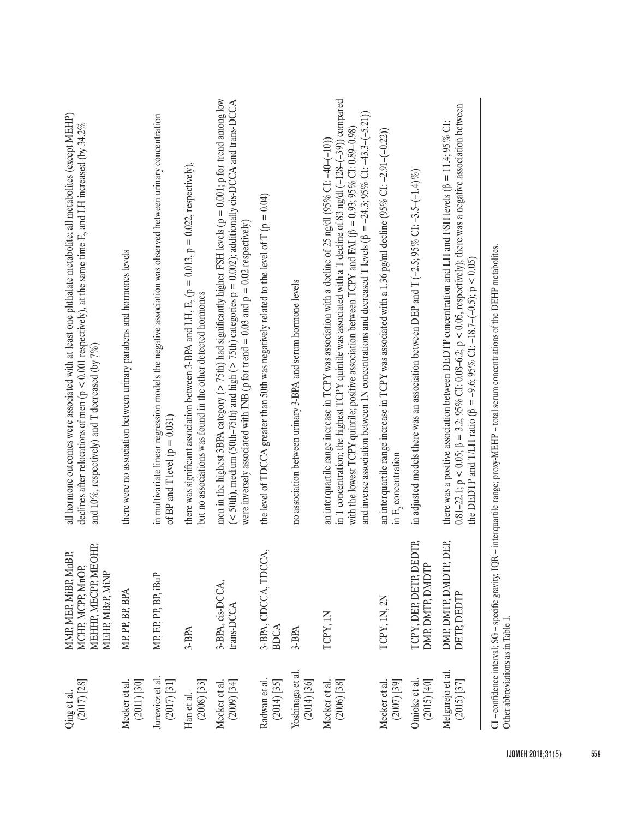| $(2017)$ $[28]$<br>Qing et al.      | OHP,<br>MMP, MEP, MiBP, MnBP,<br>MEHHP, MECPP, ME<br>MCHP, MCPP, MnOP,<br>MEHP, MBzP, MiNP | all hormone outcomes were associated with at least one phthalate metabolite; all metabolites (except MEHP)<br>declines after relocations of men (p < 0.001 respectively), at the same time E <sub>2</sub> and LH increased (by 34.2%<br>and 10%, respectively) and T decreased (by $7\%$ )                                                                                                                                                                         |
|-------------------------------------|--------------------------------------------------------------------------------------------|--------------------------------------------------------------------------------------------------------------------------------------------------------------------------------------------------------------------------------------------------------------------------------------------------------------------------------------------------------------------------------------------------------------------------------------------------------------------|
| $(2011)$ $[30]$<br>Meeker et al.    | MP, PP, BP, BPA                                                                            | there were no association between urinary parabens and hormones levels                                                                                                                                                                                                                                                                                                                                                                                             |
| Jurewicz et al.<br>$(2017)$ $[31]$  | MP, EP, PP, BP, iBuP                                                                       | in multivariate linear regression models the negative association was observed between urinary concentration<br>of BP and T level ( $p = 0.031$ )                                                                                                                                                                                                                                                                                                                  |
| $(2008)$ $[33]$<br>Han et al.       | 3-BPA                                                                                      | there was significant association between 3-BPA and LH, $E_2$ ( $p = 0.013$ , $p = 0.022$ , respectively),<br>but no associations was found in the other detected hormones                                                                                                                                                                                                                                                                                         |
| $(2009)$ $[34]$<br>Meeker et al.    | 3-BPA, cis-DCCA,<br>trans-DCCA                                                             | men in the highest 3BPA category ( $> 75$ th) had significantly higher FSH levels ( $p = 0.001$ ; p for trend among low<br>$($ < 50th), medium (50th-75th) and high $($ > 75th) categories $p = 0.002$ ); additionally cis-DCCA and trans-DCCA<br>were inversely associated with INB (p for trend = 0.03 and $p = 0.02$ respectively)                                                                                                                              |
| Radwan et al<br>$(2014)$ [35]       | 3-BPA, CDCCA, TDCCA,<br><b>BDCA</b>                                                        | the level of TDCCA greater than 50th was negatively related to the level of T ( $p = 0.04$ )                                                                                                                                                                                                                                                                                                                                                                       |
| Yoshinaga et al.<br>$(2014)$ [36]   | 3-BPA                                                                                      | no association between urinary 3-BPA and serum hormone levels                                                                                                                                                                                                                                                                                                                                                                                                      |
| $(2006)$ $[38]$<br>Meeker et al.    | TCPY, IN                                                                                   | in T concentration; the highest TCPY quintile was associated with a T decline of 83 ng/dl (-128-(-39)) compared<br>and inverse association between IN concentrations and decreased T levels ( $\beta = -24.3$ ; 95% C1: -43.3-(-5.21))<br>with the lowest TCPY quintile; positive association between TCPY and FAI ( $\beta = 0.93$ ; 95% CI: 0.89-0.98)<br>an interquartile range increase in TCPY was association with a decline of 25 ng/dl (95% CI: -40-(-10)) |
| Meeker et al.<br>$(2007)$ [39]      | TCPY, 1N, 2N                                                                               | an interquartile range increase in TCPY was associated with a 1.36 pg/ml decline (95% CI: -2.91-(-0.22))<br>in $E_2$ concentration                                                                                                                                                                                                                                                                                                                                 |
| Omioke et al.<br>$(2015)$ $[40]$    | TCPY, DEP, DETP, DEDTP,<br>DMP, DMTP, DMDTP                                                | in adjusted models there was an association between DEP and $T$ (-2.5; 95% CI: -3.5-(-1.4)%)                                                                                                                                                                                                                                                                                                                                                                       |
| Melgarejo et al.<br>$(2015)$ $[37]$ | DEP,<br>DMP, DMTP, DMDTP,<br>DETP, DEDTP                                                   | $0.81-22.1$ ; $p < 0.05$ ; $\beta = 3.2$ ; $95\%$ CI: $0.08-6.2$ ; $p < 0.05$ , respectively); there was a negative association between<br>there was a positive association between DEDTP concentration and LH and FSH levels ( $\beta = 11.4$ ; 95% CI:<br>the DEDTP and T/LH ratio ( $\beta = -9.6$ ; 95% CI: -18.7-(-0.5); p < 0.05                                                                                                                             |
| Other abbreviations as in Table 1.  |                                                                                            | CI-confidence interval; SG-specific gravity; IQR-interquartile range; proxy-MEHP-total serum concentrations of the DEHP metabolites.                                                                                                                                                                                                                                                                                                                               |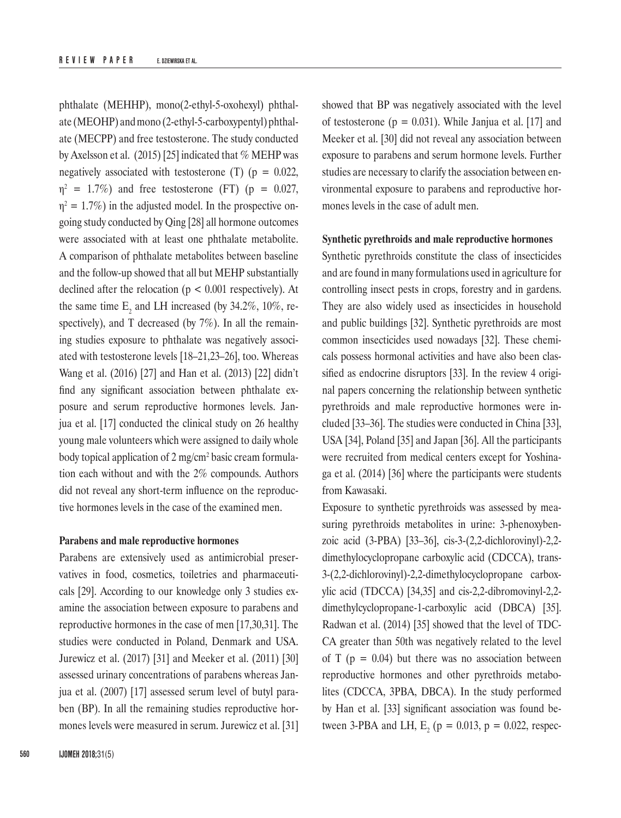phthalate (MEHHP), mono(2-ethyl-5-oxohexyl) phthalate (MEOHP) and mono (2-ethyl-5-carboxypentyl) phthalate (MECPP) and free testosterone. The study conducted by Axelsson et al. (2015) [25] indicated that  $%$  MEHP was negatively associated with testosterone (T) ( $p = 0.022$ ,  $\eta^2$  = 1.7%) and free testosterone (FT) (p = 0.027,  $\eta^2 = 1.7\%$ ) in the adjusted model. In the prospective ongoing study conducted by Qing [28] all hormone outcomes were associated with at least one phthalate metabolite. A comparison of phthalate metabolites between baseline and the follow-up showed that all but MEHP substantially declined after the relocation ( $p < 0.001$  respectively). At the same time  $E_2$  and LH increased (by 34.2%, 10%, respectively), and T decreased (by 7%). In all the remaining studies exposure to phthalate was negatively associated with testosterone levels [18–21,23–26], too. Whereas Wang et al. (2016) [27] and Han et al. (2013) [22] didn't find any significant association between phthalate exposure and serum reproductive hormones levels. Janjua et al. [17] conducted the clinical study on 26 healthy young male volunteers which were assigned to daily whole body topical application of 2 mg/cm<sup>2</sup> basic cream formulation each without and with the 2% compounds. Authors did not reveal any short-term influence on the reproductive hormones levels in the case of the examined men.

#### **Parabens and male reproductive hormones**

Parabens are extensively used as antimicrobial preservatives in food, cosmetics, toiletries and pharmaceuticals [29]. According to our knowledge only 3 studies examine the association between exposure to parabens and reproductive hormones in the case of men [17,30,31]. The studies were conducted in Poland, Denmark and USA. Jurewicz et al. (2017) [31] and Meeker et al. (2011) [30] assessed urinary concentrations of parabens whereas Janjua et al. (2007) [17] assessed serum level of butyl paraben (BP). In all the remaining studies reproductive hormones levels were measured in serum. Jurewicz et al. [31] showed that BP was negatively associated with the level of testosterone ( $p = 0.031$ ). While Janjua et al. [17] and Meeker et al. [30] did not reveal any association between exposure to parabens and serum hormone levels. Further studies are necessary to clarify the association between environmental exposure to parabens and reproductive hormones levels in the case of adult men.

#### **Synthetic pyrethroids and male reproductive hormones**

Synthetic pyrethroids constitute the class of insecticides and are found in many formulations used in agriculture for controlling insect pests in crops, forestry and in gardens. They are also widely used as insecticides in household and public buildings [32]. Synthetic pyrethroids are most common insecticides used nowadays [32]. These chemicals possess hormonal activities and have also been classified as endocrine disruptors [33]. In the review 4 original papers concerning the relationship between synthetic pyrethroids and male reproductive hormones were included [33–36]. The studies were conducted in China [33], USA [34], Poland [35] and Japan [36]. All the participants were recruited from medical centers except for Yoshinaga et al. (2014) [36] where the participants were students from Kawasaki.

Exposure to synthetic pyrethroids was assessed by measuring pyrethroids metabolites in urine: 3-phenoxybenzoic acid (3-PBA) [33–36], cis-3-(2,2-dichlorovinyl)-2,2 dimethylocyclopropane carboxylic acid (CDCCA), trans-3-(2,2-dichlorovinyl)-2,2-dimethylocyclopropane carboxylic acid (TDCCA) [34,35] and cis-2,2-dibromovinyl-2,2 dimethylcyclopropane-1-carboxylic acid (DBCA) [35]. Radwan et al. (2014) [35] showed that the level of TDC-CA greater than 50th was negatively related to the level of T ( $p = 0.04$ ) but there was no association between reproductive hormones and other pyrethroids metabolites (CDCCA, 3PBA, DBCA). In the study performed by Han et al. [33] significant association was found between 3-PBA and LH, E<sub>2</sub> (p = 0.013, p = 0.022, respec-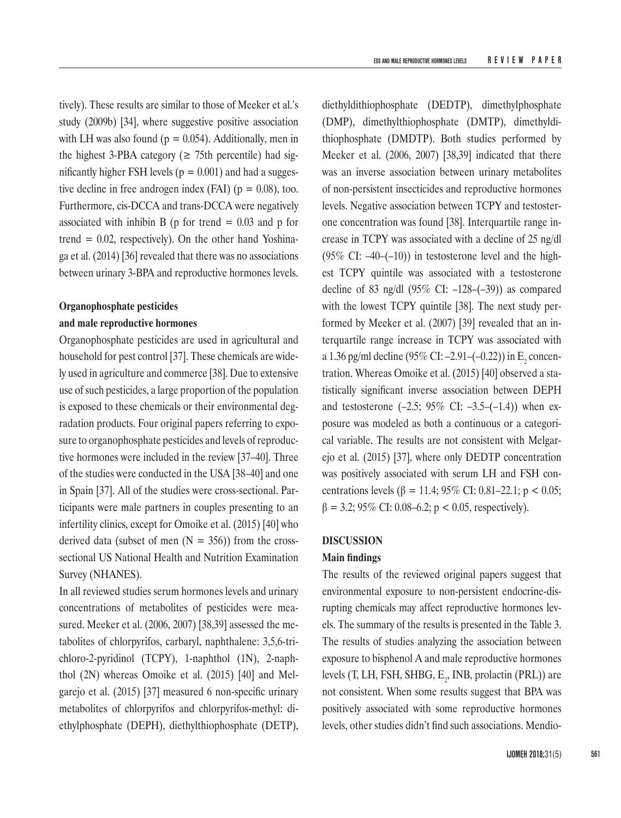tively). These results are similar to those of Meeker et al.'s study (2009b) [34], where suggestive positive association with LH was also found ( $p = 0.054$ ). Additionally, men in the highest 3-PBA category ( $\geq$  75th percentile) had significantly higher FSH levels ( $p = 0.001$ ) and had a suggestive decline in free androgen index (FAI) ( $p = 0.08$ ), too. Furthermore, cis-DCCA and trans-DCCA were negatively associated with inhibin B ( $p$  for trend = 0.03 and  $p$  for trend  $= 0.02$ , respectively). On the other hand Yoshinaga et al. (2014) [36] revealed that there was no associations between urinary 3-BPA and reproductive hormones levels.

# **Organophosphate pesticides and male reproductive hormones**

Organophosphate pesticides are used in agricultural and household for pest control [37]. These chemicals are widely used in agriculture and commerce [38]. Due to extensive use of such pesticides, a large proportion of the population is exposed to these chemicals or their environmental degradation products. Four original papers referring to exposure to organophosphate pesticides and levels of reproductive hormones were included in the review [37–40]. Three of the studies were conducted in the USA [38–40] and one in Spain [37]. All of the studies were cross-sectional. Participants were male partners in couples presenting to an infertility clinics, except for Omoike et al. (2015) [40] who derived data (subset of men  $(N = 356)$ ) from the crosssectional US National Health and Nutrition Examination Survey (NHANES).

In all reviewed studies serum hormones levels and urinary concentrations of metabolites of pesticides were measured. Meeker et al. (2006, 2007) [38,39] assessed the metabolites of chlorpyrifos, carbaryl, naphthalene: 3,5,6-trichloro-2-pyridinol (TCPY), 1-naphthol (1N), 2-naphthol (2N) whereas Omoike et al. (2015) [40] and Melgarejo et al. (2015) [37] measured 6 non-specific urinary metabolites of chlorpyrifos and chlorpyrifos-methyl: diethylphosphate (DEPH), diethylthiophosphate (DETP),

diethyldithiophosphate (DEDTP), dimethylphosphate (DMP), dimethylthiophosphate (DMTP), dimethyldithiophosphate (DMDTP). Both studies performed by Meeker et al. (2006, 2007) [38,39] indicated that there was an inverse association between urinary metabolites of non-persistent insecticides and reproductive hormones levels. Negative association between TCPY and testosterone concentration was found [38]. Interquartile range increase in TCPY was associated with a decline of 25 ng/dl (95% CI:  $-40-(-10)$ ) in testosterone level and the highest TCPY quintile was associated with a testosterone decline of 83 ng/dl  $(95\% \text{ CI: } -128 - (-39))$  as compared with the lowest TCPY quintile [38]. The next study performed by Meeker et al. (2007) [39] revealed that an interquartile range increase in TCPY was associated with a 1.36 pg/ml decline  $(95\%$  CI:  $-2.91-(-0.22)$ ) in E<sub>2</sub> concentration. Whereas Omoike et al. (2015) [40] observed a statistically significant inverse association between DEPH and testosterone  $(-2.5; 95\% \text{ CI: } -3.5 - (-1.4))$  when exposure was modeled as both a continuous or a categorical variable. The results are not consistent with Melgarejo et al. (2015) [37], where only DEDTP concentration was positively associated with serum LH and FSH concentrations levels (β = 11.4; 95% CI: 0.81–22.1; p < 0.05;  $β = 3.2$ ; 95% CI: 0.08–6.2; p < 0.05, respectively).

# **DISCUSSION**

# **Main findings**

The results of the reviewed original papers suggest that environmental exposure to non-persistent endocrine-disrupting chemicals may affect reproductive hormones levels. The summary of the results is presented in the Table 3. The results of studies analyzing the association between exposure to bisphenol A and male reproductive hormones levels (T, LH, FSH, SHBG,  $E_z$ , INB, prolactin (PRL)) are not consistent. When some results suggest that BPA was positively associated with some reproductive hormones levels, other studies didn't find such associations. Mendio-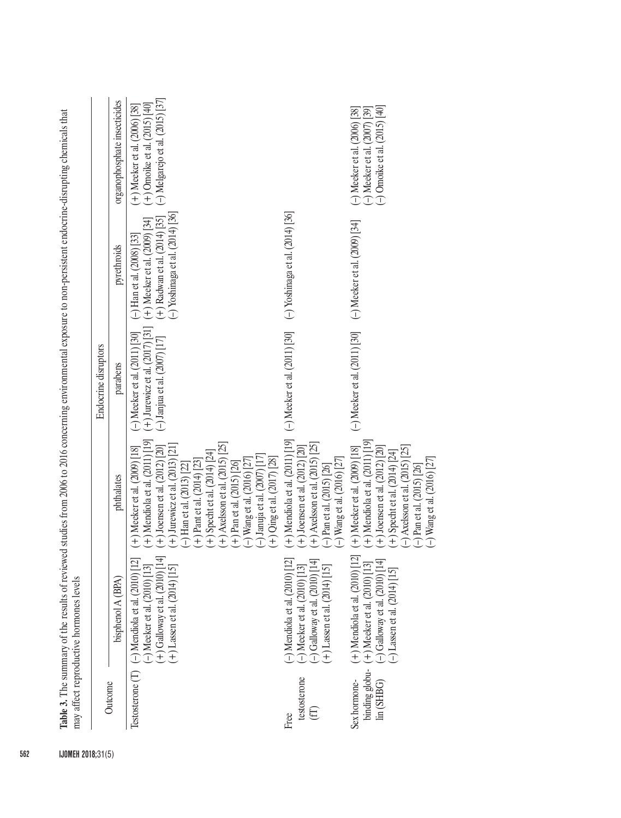| Table 3. The summary of the results of reviewed studies from 2006 to 2016 concerning environmental exposure to non-persistent endocrine-disrupting chemicals that<br>$(+)$ Jurewicz et al. (2017) [31]<br>(-) Meeker et al. $(2011)$ [30]<br><b>Endocrine</b> disruptors<br>parabens<br>$(+)$ Mendiola et al. $(2011)$ [19]<br>(+) Meeker et al. (2009) [18]<br>phthalates<br>Testosterone $(T)$ (-) Mendiola et al. (2010) [12]<br>$(-)$ Meeker et al. $(2010)$ [13]<br>bisphenol A (BPA)<br>may affect reproductive hormones levels<br>Outcome | $(-)$ Janjua et al. $(2007)$ [17]<br>+) Axelsson et al. $(2015)$ $[25]$<br>(+) Joensen et al. (2012) [20]<br>(+) Jurewicz et al. (2013) [21]<br>+) Specht et al. (2014) [24]<br>$(-)$ Januja et al. $(2007)$ [17]<br>$(-)$ Wang et al. (2016) [27]<br>$(+)$ Pant et al. (2014) [23]<br>$+$ ) Pan et al. (2015) [26]<br>$-$ ) Han et al. (2013) [22<br>$(+)$ Galloway et al. $(2010)$ [14<br>$(+)$ Lassen et al. $(2014)$ [15] | $(-)$ Melgarejo et al. $(2015)$ $[37]$<br>organophosphate insecticides<br>$(+)$ Omoike et al. (2015) [40]<br>$(+)$ Meeker et al. (2006) [38]<br>(-) Omoike et al. $(2015)$ [40]<br>$(-)$ Meeker et al. $(2007)$ [39]<br>(-) Meeker et al. (2006) [38]<br>(-) Meeker et al. (2011) [30] (-) Yoshinaga et al. (2014) [36]<br>$(-)$ Yoshinaga et al. $(2014)$ [36]<br>$(+)$ Radwan et al. $(2014)$ [35]<br>$(+)$ Meeker et al. $(2009)$ [34]<br>(-) Meeker et al. (2009) [34]<br>$(-)$ Han et al. $(2008)$ [33]<br>pyrethroids<br>$(-)$ Meeker et al. $(2011)$ [30] |
|--------------------------------------------------------------------------------------------------------------------------------------------------------------------------------------------------------------------------------------------------------------------------------------------------------------------------------------------------------------------------------------------------------------------------------------------------------------------------------------------------------------------------------------------------|-------------------------------------------------------------------------------------------------------------------------------------------------------------------------------------------------------------------------------------------------------------------------------------------------------------------------------------------------------------------------------------------------------------------------------|------------------------------------------------------------------------------------------------------------------------------------------------------------------------------------------------------------------------------------------------------------------------------------------------------------------------------------------------------------------------------------------------------------------------------------------------------------------------------------------------------------------------------------------------------------------|
|                                                                                                                                                                                                                                                                                                                                                                                                                                                                                                                                                  |                                                                                                                                                                                                                                                                                                                                                                                                                               |                                                                                                                                                                                                                                                                                                                                                                                                                                                                                                                                                                  |
| $(+)$ Mendiola et al. $(2011)$ [19]<br>$(+)$ Axelsson et al. (2015) [25]<br>$(+)$ Joensen et al. $(2012)$ $[20]$<br>$(+)$ Qing et al. (2017) [28]<br>$(-)$ Wang et al. (2016) [27]<br>$(-)$ Pan et al. $(2015)$ [26]<br>$(-)$ Mendiola et al. $(2010)$ [12]<br>$(-)$ Galloway et al. $(2010)$ [14]<br>$(+)$ Lassen et al. $(2014)$ [15]<br>$(-)$ Meeker et al. $(2010)$ [13]<br>testosterone<br>$(\mathbb{H})$<br>Free                                                                                                                           |                                                                                                                                                                                                                                                                                                                                                                                                                               |                                                                                                                                                                                                                                                                                                                                                                                                                                                                                                                                                                  |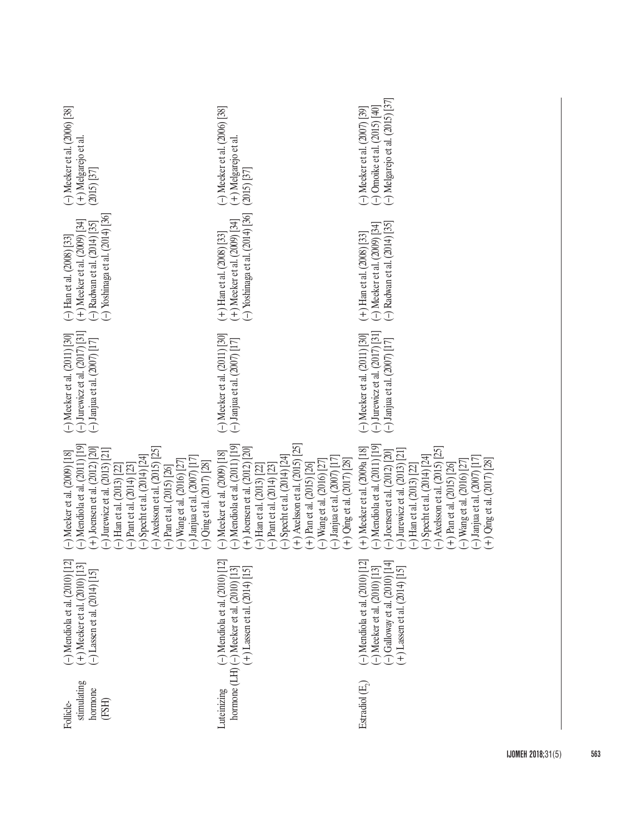| $-$ ) Meeker et al. $(2006)$ [38]<br>(+) Melgarejo et al<br>$(2015)$ $[37]$                                                                                                                                                                                                                                                                                                                                                                                         | $-$ ) Meeker et al. $(2006)$ [38]<br>(+) Melgarejo et al.<br>(2015) [37]                                                                                                                                                                                                                                                                                                                     | (-) Melgarejo et al. $(2015)$ [37]<br>(-) Omoike et al. $(2015)$ [40]<br>$(-)$ Meeker et al. $(2007)$ [39]                                                                                                                                                                                                                                                                                       |
|---------------------------------------------------------------------------------------------------------------------------------------------------------------------------------------------------------------------------------------------------------------------------------------------------------------------------------------------------------------------------------------------------------------------------------------------------------------------|----------------------------------------------------------------------------------------------------------------------------------------------------------------------------------------------------------------------------------------------------------------------------------------------------------------------------------------------------------------------------------------------|--------------------------------------------------------------------------------------------------------------------------------------------------------------------------------------------------------------------------------------------------------------------------------------------------------------------------------------------------------------------------------------------------|
| (-) Yoshinaga et al. $(2014)$ [36]<br>$(+)$ Meeker et al. $(2009)$ [34]<br>(-) Radwan et al. (2014) [35]<br>$(-)$ Han et al. $(2008)$ [33]                                                                                                                                                                                                                                                                                                                          | $(-)$ Yoshinaga et al. $(2014)$ [36]<br>$(+)$ Meeker et al. $(2009)$ <sup>[34]</sup><br>$(+)$ Han et al. $(2008)$ [33]                                                                                                                                                                                                                                                                       | $(-)$ Radwan et al. $(2014)$ [35]<br>(-) Meeker et al. (2009) [34]<br>$(+)$ Han et al. (2008) [33]                                                                                                                                                                                                                                                                                               |
| (-) Jurewicz et al. $(2017)$ [31]<br>$(-)$ Meeker et al. $(2011)$ [30]<br>$(-)$ Janjua et al. $(2007)$ [17]                                                                                                                                                                                                                                                                                                                                                         | $(-)$ Meeker et al. $(2011)$ [30]<br>$(-)$ Janjua et al. $(2007)$ [17]                                                                                                                                                                                                                                                                                                                       | (-) Jurewicz et al. $(2017)$ [31]<br>$(-)$ Meeker et al. $(2011)$ [30]<br>$(-)$ Janjua et al. $(2007)$ [17]                                                                                                                                                                                                                                                                                      |
| $\rightarrow$ Mendiola et al. (2011) [19]<br>$(+)$ Joensen et al. (2012) [20]<br>$-$ ) Axelsson et al. (2015) [25]<br>$-$ ) Jurewicz et al. (2013) [21]<br>$(-)$ Meeker et al. $(2009)$ [18]<br>$(-)$ Specht et al. $(2014)$ $[24]$<br>$(-)$ Janjua et al. $(2007)$ [17]<br>$(-)$ Wang et al. (2016) [27]<br>$(-)$ Qing et al. (2017) [28]<br>$\left(-\right)$ Han et al. (2013) [22]<br>$\left(-\right)$ Pant et al. (2014) [23]<br>$(-)$ Pan et al. $(2015)$ [26] | $-$ ) Mendiola et al. $(2011)$ [19]<br>$(+)$ Axelsson et al. (2015) [25]<br>$(+)$ Joensen et al. (2012) [20]<br>(-) Meeker et al. (2009) [18]<br>$-$ ) Specht et al. (2014) [24]<br>$(-)$ Janjua et al. $(2007)$ [17]<br>$(+)$ Qing et al. $(2017)$ $[28]$<br>$(-)$ Wang et al. (2016) [27]<br>$(+)$ Pan et al. (2015) [26]<br>$-$ ) Pant et al. (2014) [23]<br>$-$ ) Han et al. (2013) [22] | $-$ ) Mendiola et al. $(2011)$ [19]<br>(+) Meeker et al. (2009a [18]<br>$-$ ) Axelsson et al. (2015) [25]<br>$-$ ) Jurewicz et al. (2013) [21]<br>$-$ ) Joensen et al. $(2012)$ $[20]$<br>$-$ ) Specht et al. (2014) [24]<br>$(-)$ Janjua et al. $(2007)$ [17]<br>$(+)$ Qing et al. (2017) [28]<br>$(-)$ Wang et al. (2016) [27]<br>$(+)$ Pan et al. (2015) [26]<br>$-$ ) Han et al. (2013) [22] |
| $(-)$ Mendiola et al. $(2010)$ [12]<br>(+) Meeker et al. (2010) [13]<br>(-) Lassen et al. (2014) [15]                                                                                                                                                                                                                                                                                                                                                               | uteinizing $(-)$ Mendiola et al. (2010) [12]<br>hormone (LH) $(-)$ Meeker et al. (2010) [13]<br>$(+)$ Lassen et al. (2014) [15]                                                                                                                                                                                                                                                              | $(-)$ Mendiola et al. $(2010)$ [12]<br>$(-)$ Galloway et al. $(2010)$ [14]<br>$(-)$ Meeker et al. $(2010)$ $[13]$<br>$(+)$ Lassen et al. $(2014)$ [15]                                                                                                                                                                                                                                           |
| stimulating<br>hormone<br>(FSH)<br>Follicle-                                                                                                                                                                                                                                                                                                                                                                                                                        | Luteinizing                                                                                                                                                                                                                                                                                                                                                                                  | Estradiol (E,)                                                                                                                                                                                                                                                                                                                                                                                   |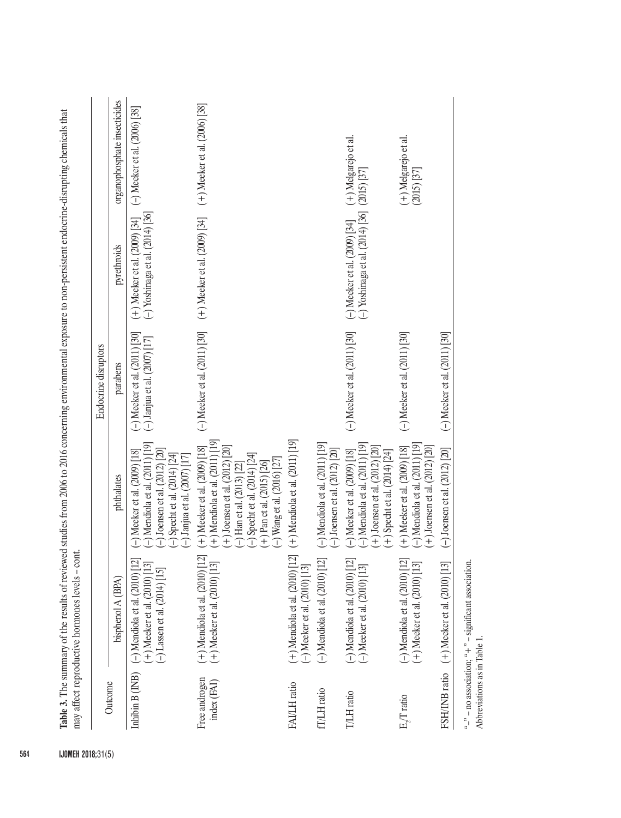|                              |                                                                                                           |                                                                                                                                                                                                                                                    | Endocrine disruptors                                                   |                                                                                                                                  |                                           |
|------------------------------|-----------------------------------------------------------------------------------------------------------|----------------------------------------------------------------------------------------------------------------------------------------------------------------------------------------------------------------------------------------------------|------------------------------------------------------------------------|----------------------------------------------------------------------------------------------------------------------------------|-------------------------------------------|
| Outcome                      | bisphenol A (BPA)                                                                                         | phthalates                                                                                                                                                                                                                                         | parabens                                                               | pyrethroids                                                                                                                      | organophosphate insecticides              |
| Inhibin B (INB)              | $(-)$ Mendiola et al. $(2010)$ [12]<br>(+) Meeker et al. (2010) [13]<br>$(-)$ Lassen et al. $(2014)$ [15] | $\rightarrow$ Mendiola et al. (2011) [19]<br>$(-)$ Meeker et al. $(2009)$ [18]<br>(-) Joensen et al. $(2012)$ [20]<br>(-) Specht et al. $(2014)$ $[24]$<br>$(-)$ Janjua et al. $(2007)$ [17]                                                       | $-$ ) Meeker et al. $(2011)$ [30]<br>$(-)$ Janjua et al. $(2007)$ [17] | (-) Yoshinaga et al. $(2014)$ [36]<br>(+) Meeker et al. (2009) [34]                                                              | (-) Meeker et al. (2006) [38]             |
| Free androgen<br>index (FAI) | (+) Mendiola et al. (2010) [12]<br>$(+)$ Meeker et al. $(2010)$ [13]                                      | (+) Mendiola et al. (2011) [19]<br>$(+)$ Joensen et al. $(2012)$ $[20]$<br>$(+)$ Meeker et al. $(2009)$ [18]<br>$(-)$ Specht et al. $(2014)$ $[24]$<br>$(+)$ Pan et al. (2015) [26]<br>(-) Wang et al. (2016) [27]<br>$(-)$ Han et al. (2013) [22] | $(-)$ Meeker et al. $(2011)$ [30]                                      | (+) Meeker et al. (2009) [34]                                                                                                    | $(+)$ Meeker et al. $(2006)$ [38]         |
| FAI/LH ratio                 | $(+)$ Mendiola et al. $(2010)$ [12]<br>(-) Meeker et al. $(2010)$ $[13]$                                  | $(+)$ Mendiola et al. $(2011)$ [19]                                                                                                                                                                                                                |                                                                        |                                                                                                                                  |                                           |
| fT/LH ratio                  | $(-)$ Mendiola et al. $(2010)$ [12]                                                                       | $(-)$ Mendiola et al. $(2011)$ [19]<br>(-) Joensen et al. $(2012)$ $[20]$                                                                                                                                                                          |                                                                        |                                                                                                                                  |                                           |
| T/LH ratio                   | $(-)$ Mendiola et al. $(2010)$ [12]<br>$(-)$ Meeker et al. $(2010)$ [13]                                  | $(-)$ Mendiola et al. $(2011)$ [19]<br>$(+)$ Joensen et al. (2012) [20]<br>(-) Meeker et al. (2009) [18]<br>$(+)$ Specht et al. $(2014)$ $[24]$                                                                                                    |                                                                        | (-) Meeker et al. (2011) [30] (-) Meeker et al. (2009) [34] (+) Melgarejo et al.<br>(-) Yoshinaga et al. (2014) [36] (2015) [37] |                                           |
| E./T ratio                   | $(-)$ Mendiola et al. $(2010)$ [12]<br>$(+)$ Meeker et al. $(2010)$ [13]                                  | $(-)$ Mendiola et al. $(2011)$ [19]<br>$(+)$ Joensen et al. $(2012)$ $[20]$<br>$(+)$ Meeker et al. $(2009)$ [18]                                                                                                                                   | $(-)$ Meeker et al. $(2011)$ [30]                                      |                                                                                                                                  | $(+)$ Melgarejo et al.<br>$(2015)$ $[37]$ |
|                              | FSH/INB ratio (+) Meeker et al. (2010) [13]                                                               | $(-)$ Joensen et al. $(2012)$ [20]                                                                                                                                                                                                                 | (-) Meeker et al. (2011) [30]                                          |                                                                                                                                  |                                           |
| Abbreviations as in Table 1  | "-" $-$ no association; " $+$ " $-$ significant association.                                              |                                                                                                                                                                                                                                                    |                                                                        |                                                                                                                                  |                                           |

Table 3. The summary of the results of reviewed studies from 2006 to 2016 concerning environmental exposure to non-persistent endocrine-disrupting chemicals that The summary of the results of reviewed studies from 2006 to 2016 concerning environmental exposure to non-persistent endocrine-disrupting chemicals that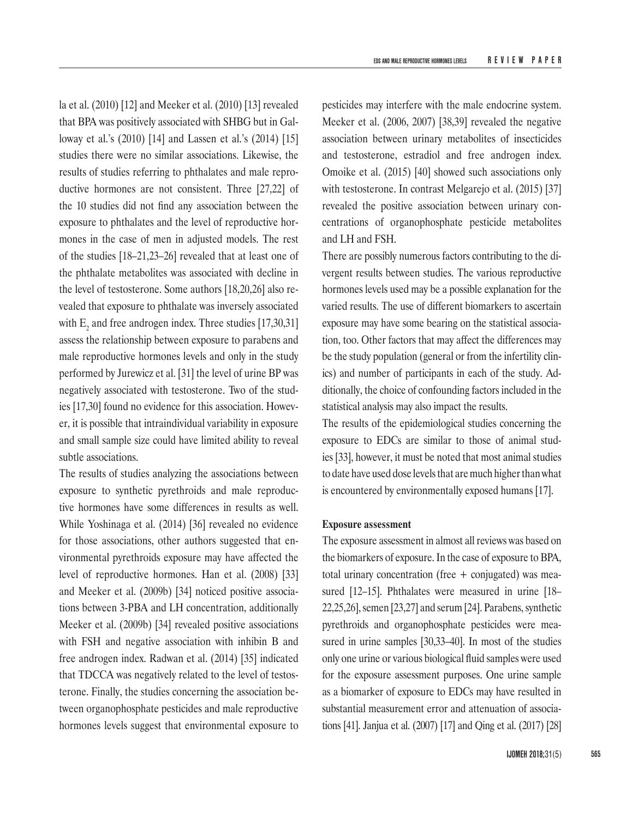la et al. (2010) [12] and Meeker et al. (2010) [13] revealed that BPA was positively associated with SHBG but in Galloway et al.'s (2010) [14] and Lassen et al.'s (2014) [15] studies there were no similar associations. Likewise, the results of studies referring to phthalates and male reproductive hormones are not consistent. Three [27,22] of the 10 studies did not find any association between the exposure to phthalates and the level of reproductive hormones in the case of men in adjusted models. The rest of the studies [18–21,23–26] revealed that at least one of the phthalate metabolites was associated with decline in the level of testosterone. Some authors [18,20,26] also revealed that exposure to phthalate was inversely associated with  $E<sub>2</sub>$  and free androgen index. Three studies [17,30,31] assess the relationship between exposure to parabens and male reproductive hormones levels and only in the study performed by Jurewicz et al. [31] the level of urine BP was negatively associated with testosterone. Two of the studies [17,30] found no evidence for this association. However, it is possible that intraindividual variability in exposure and small sample size could have limited ability to reveal subtle associations.

The results of studies analyzing the associations between exposure to synthetic pyrethroids and male reproductive hormones have some differences in results as well. While Yoshinaga et al. (2014) [36] revealed no evidence for those associations, other authors suggested that environmental pyrethroids exposure may have affected the level of reproductive hormones. Han et al. (2008) [33] and Meeker et al. (2009b) [34] noticed positive associations between 3-PBA and LH concentration, additionally Meeker et al. (2009b) [34] revealed positive associations with FSH and negative association with inhibin B and free androgen index. Radwan et al. (2014) [35] indicated that TDCCA was negatively related to the level of testosterone. Finally, the studies concerning the association between organophosphate pesticides and male reproductive hormones levels suggest that environmental exposure to

pesticides may interfere with the male endocrine system. Meeker et al. (2006, 2007) [38,39] revealed the negative association between urinary metabolites of insecticides and testosterone, estradiol and free androgen index. Omoike et al. (2015) [40] showed such associations only with testosterone. In contrast Melgarejo et al. (2015) [37] revealed the positive association between urinary concentrations of organophosphate pesticide metabolites and LH and FSH.

There are possibly numerous factors contributing to the divergent results between studies. The various reproductive hormones levels used may be a possible explanation for the varied results. The use of different biomarkers to ascertain exposure may have some bearing on the statistical association, too. Other factors that may affect the differences may be the study population (general or from the infertility clinics) and number of participants in each of the study. Additionally, the choice of confounding factors included in the statistical analysis may also impact the results.

The results of the epidemiological studies concerning the exposure to EDCs are similar to those of animal studies [33], however, it must be noted that most animal studies to date have used dose levels that are much higher than what is encountered by environmentally exposed humans [17].

#### **Exposure assessment**

The exposure assessment in almost all reviews was based on the biomarkers of exposure. In the case of exposure to BPA, total urinary concentration (free + conjugated) was measured [12–15]. Phthalates were measured in urine [18– 22,25,26], semen [23,27] and serum [24]. Parabens, synthetic pyrethroids and organophosphate pesticides were measured in urine samples [30,33–40]. In most of the studies only one urine or various biological fluid samples were used for the exposure assessment purposes. One urine sample as a biomarker of exposure to EDCs may have resulted in substantial measurement error and attenuation of associations [41]. Janjua et al. (2007) [17] and Qing et al. (2017) [28]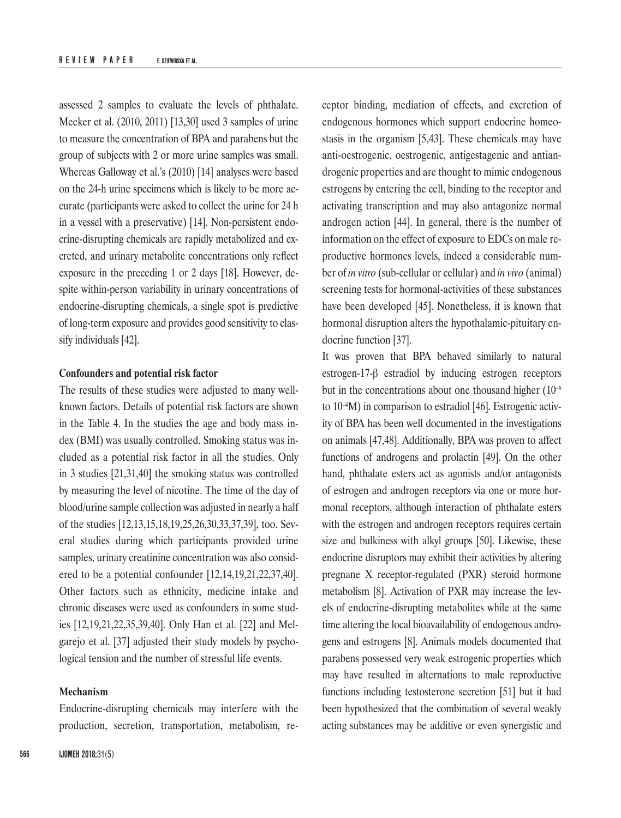assessed 2 samples to evaluate the levels of phthalate. Meeker et al. (2010, 2011) [13,30] used 3 samples of urine to measure the concentration of BPA and parabens but the group of subjects with 2 or more urine samples was small. Whereas Galloway et al.'s (2010) [14] analyses were based on the 24-h urine specimens which is likely to be more accurate (participants were asked to collect the urine for 24 h in a vessel with a preservative) [14]. Non-persistent endocrine-disrupting chemicals are rapidly metabolized and excreted, and urinary metabolite concentrations only reflect exposure in the preceding 1 or 2 days [18]. However, despite within-person variability in urinary concentrations of endocrine-disrupting chemicals, a single spot is predictive of long-term exposure and provides good sensitivity to classify individuals [42].

# **Confounders and potential risk factor**

The results of these studies were adjusted to many wellknown factors. Details of potential risk factors are shown in the Table 4. In the studies the age and body mass index (BMI) was usually controlled. Smoking status was included as a potential risk factor in all the studies. Only in 3 studies [21,31,40] the smoking status was controlled by measuring the level of nicotine. The time of the day of blood/urine sample collection was adjusted in nearly a half of the studies [12,13,15,18,19,25,26,30,33,37,39], too. Several studies during which participants provided urine samples, urinary creatinine concentration was also considered to be a potential confounder [12,14,19,21,22,37,40]. Other factors such as ethnicity, medicine intake and chronic diseases were used as confounders in some studies [12,19,21,22,35,39,40]. Only Han et al. [22] and Melgarejo et al. [37] adjusted their study models by psychological tension and the number of stressful life events.

## **Mechanism**

Endocrine-disrupting chemicals may interfere with the production, secretion, transportation, metabolism, receptor binding, mediation of effects, and excretion of endogenous hormones which support endocrine homeostasis in the organism [5,43]. These chemicals may have anti-oestrogenic, oestrogenic, antigestagenic and antiandrogenic properties and are thought to mimic endogenous estrogens by entering the cell, binding to the receptor and activating transcription and may also antagonize normal androgen action [44]. In general, there is the number of information on the effect of exposure to EDCs on male reproductive hormones levels, indeed a considerable number of *in vitro* (sub-cellular or cellular) and *in vivo* (animal) screening tests for hormonal-activities of these substances have been developed [45]. Nonetheless, it is known that hormonal disruption alters the hypothalamic-pituitary endocrine function [37].

It was proven that BPA behaved similarly to natural estrogen-17-β estradiol by inducing estrogen receptors but in the concentrations about one thousand higher (10<sup>-6</sup>) to  $10^{-4}$ M) in comparison to estradiol [46]. Estrogenic activity of BPA has been well documented in the investigations on animals [47,48]. Additionally, BPA was proven to affect functions of androgens and prolactin [49]. On the other hand, phthalate esters act as agonists and/or antagonists of estrogen and androgen receptors via one or more hormonal receptors, although interaction of phthalate esters with the estrogen and androgen receptors requires certain size and bulkiness with alkyl groups [50]. Likewise, these endocrine disruptors may exhibit their activities by altering pregnane X receptor-regulated (PXR) steroid hormone metabolism [8]. Activation of PXR may increase the levels of endocrine-disrupting metabolites while at the same time altering the local bioavailability of endogenous androgens and estrogens [8]. Animals models documented that parabens possessed very weak estrogenic properties which may have resulted in alternations to male reproductive functions including testosterone secretion [51] but it had been hypothesized that the combination of several weakly acting substances may be additive or even synergistic and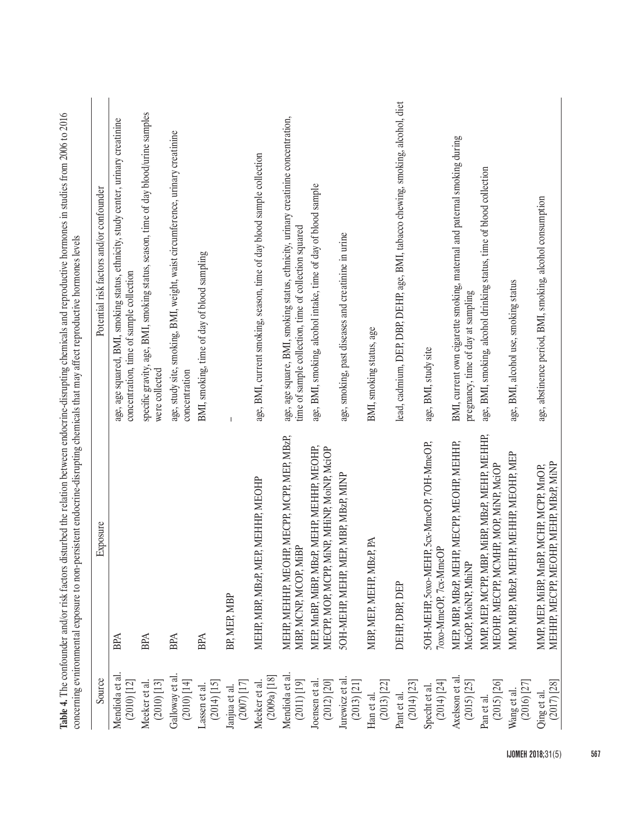|                                                          | concerning evnironmental exposure to non-persistent endocrine-disrupting chemicals that may affect reproductive hormones levels<br>Table 4. The confounder and/or risk factors | disturbed the relation between endocrine-disrupting chemicals and reproductive hormones in studies from 2006 to 2016                        |
|----------------------------------------------------------|--------------------------------------------------------------------------------------------------------------------------------------------------------------------------------|---------------------------------------------------------------------------------------------------------------------------------------------|
| Source                                                   | Exposure                                                                                                                                                                       | Potential risk factors and/or confounder                                                                                                    |
| Mendiola et al.<br>$\left( 2010\right) \left[ 12\right]$ | <b>BPA</b>                                                                                                                                                                     | age, age squared, BMI, smoking status, ethnicity, study center, urinary creatinine<br>concentration, time of sample collection              |
| $\left( 2010\right) \left[ 13\right]$<br>Meeker et al.   | <b>BPA</b>                                                                                                                                                                     | specific gravity, age, BMI, smoking status, season, time of day blood/urine samples<br>were collected                                       |
| Galloway et al.<br>$(2010)$ $[14]$                       | <b>BPA</b>                                                                                                                                                                     | age, study site, smoking, BMI, weight, waist circumference, urinary creatinine<br>concentration                                             |
| $(2014)$ $[15]$<br>Lassen et al.                         | <b>BPA</b>                                                                                                                                                                     | BMI, smoking, time of day of blood sampling                                                                                                 |
| $(2007)$ [17]<br>Janjua et al.                           | BP, MEP, MBP                                                                                                                                                                   |                                                                                                                                             |
| $(2009a)$ [18]<br>Meeker et al                           | EP, MEHHP, MEOHP<br>MEHP, MBP, MBzP, M                                                                                                                                         | age, BMI, current smoking, season, time of day blood sample collection                                                                      |
| Mendiola et al.<br>$(2011)$ $[19]$                       | MEHP, MEHHP, MEOHP, MECPP, MCPP, MEP, MBzP,<br>MBP, MCNP, MCOP, MiBP                                                                                                           | age, age square, BMI, smoking status, ethnicity, urinary creatinine concentration,<br>time of sample collection, time of collection squared |
| Joensen et al.<br>$(2012)$ $[20]$                        | MEP, MnBP, MiBP, MBzP, MEHP, MEHHP, MEOHP,<br>MECPP, MOP, MCPP, MiNP, MHiNP, MoiNP, MciOP                                                                                      | age, BMI, smoking, alcohol intake, time of day of blood sample                                                                              |
| Jurewicz et al.<br>$(2013)$ $[21]$                       | SOH-MEHP, MEHP, MEP, MBP, MBzP, MINP                                                                                                                                           | age, smoking, past diseases and creatinine in urine                                                                                         |
| $(2013)$ $[22]$<br>Han et al.                            | MBP, MEP, MEHP, MBzP, PA                                                                                                                                                       | BMI, smoking status, age                                                                                                                    |
| $(2014)$ $[23]$<br>Pant et al.                           | DEHP, DBP, DEP                                                                                                                                                                 | lead, cadmium, DEP, DBP, DEHP, age, BMI, tabacco chewing, smoking, alcohol, diet                                                            |
| $(2014)$ $[24]$<br>Specht et al.                         | 5OH-MEHP, 50x0-MEHP, 5cx-MmeOP, 7OH-MmeOP,<br>7oxo-MmeOP, 7cx-MmeOP                                                                                                            | age, BMI, study site                                                                                                                        |
| Axelsson et al<br>$(2015)$ $[25]$                        | MEP, MBP, MB2P, MEHP, MECPP, MEOHP, MEHHP,<br>MciOP, MoiNP, MhiNP                                                                                                              | BMI, current own cigarette smoking, maternal and paternal smoking during<br>pregnancy, time of day at sampling                              |
| $(2015)$ $[26]$<br>Pan et al.                            | MMP, MEP, MCPP, MBP, MiBP, MBzP, MEHP, MEHHP,<br>MEOHP, MECPP, MCMHP, MOP, MiNP, MciOP                                                                                         | age, BMI, smoking, alcohol drinking status, time of blood collection                                                                        |
| $(2016)$ $[27]$<br>Wang et al.                           | MMP, MBP, MBzP, MEHP, MEHHP, MEOHP, MEP                                                                                                                                        | age, BMI, alcohol use, smoking status                                                                                                       |
| Oing et al.<br>(2017) [28]                               | MEHHP, MECPP, MEOHP, MEHP, MBzP, MiNP<br>MMP, MEP, MiBP, MnBP, MCHP, MCPP, MnOP,                                                                                               | age, abstinence period, BMI, smoking, alcohol consumption                                                                                   |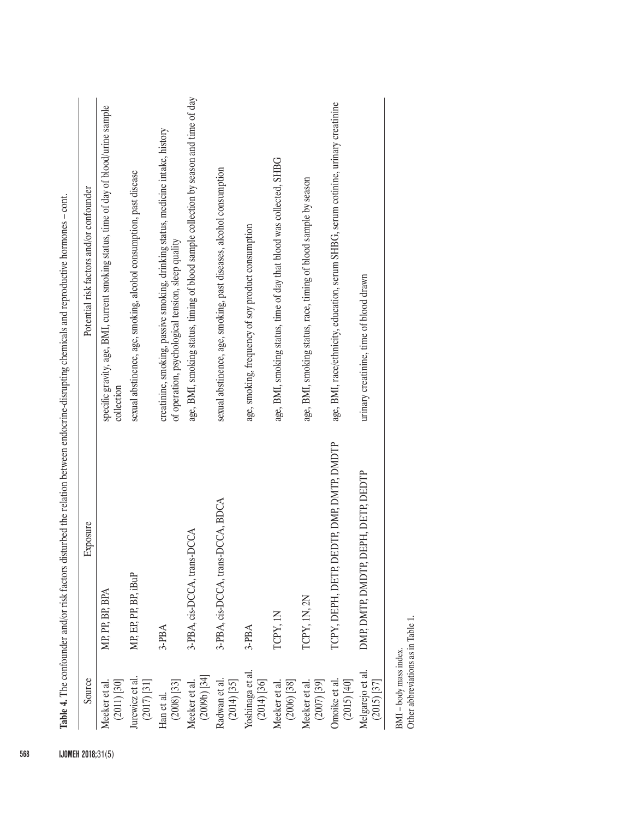| Source                              | Exposure                                  | Potential risk factors and/or confounder                                                                                              |
|-------------------------------------|-------------------------------------------|---------------------------------------------------------------------------------------------------------------------------------------|
| Meeker et al.<br>$(2011)$ $[30]$    | MP, PP, BP, BPA                           | specific gravity, age, BMI, current smoking status, time of day of blood/urine sample<br>collection                                   |
| Jurewicz et al.<br>(2017) $[31]$    | MP, EP, PP, BP, iBuP                      | sexual abstinence, age, smoking, alcohol consumption, past disease                                                                    |
| $(2008)$ $[33]$<br>Han et al.       | 3-PBA                                     | creatinine, smoking, passive smoking, drinking status, medicine intake, history<br>of operation, psychological tension, sleep quality |
| $(2009b)$ [34]<br>Meeker et al.     | 3-PBA, cis-DCCA, trans-DCCA               | age, BMI, smoking status, timing of blood sample collection by season and time of day                                                 |
| Radwan et al.<br>$(2014)$ $[35]$    | 3-PBA, cis-DCCA, trans-DCCA, BDCA         | sexual abstinence, age, smoking, past diseases, alcohol consumption                                                                   |
| Yoshinaga et al.<br>$(2014)$ $[36]$ | 3-PBA                                     | age, smoking, frequency of soy product consumption                                                                                    |
| Meeker et al.<br>(2006) [38]        | TCPY, IN                                  | age, BMI, smoking status, time of day that blood was collected, SHBG                                                                  |
| Meeker et al.<br>$(2007)$ [39]      | TCPY, 1N, 2N                              | age, BMI, smoking status, race, timing of blood sample by season                                                                      |
| $(2015)$ $[40]$<br>Omoike et al     | TCPY, DEPH, DETP, DEDTP, DMP, DMTP, DMDTP | age, BMI, race/ethnicity, education, serum SHBG, serum cotinine, urinary creatinine                                                   |
| Melgarejo et al.<br>$(2015)$ $[37]$ | DMP, DMTP, DMDTP, DEPH, DETP, DEDTP       | urinary creatinine, time of blood drawn                                                                                               |

 $\begin{minipage}{.4\linewidth} \text{BMI–body mass index.} \\ \text{Other abbreviations as in Table 1.} \end{minipage}$ BMI – body mass index.

Other abbreviations as in Table 1.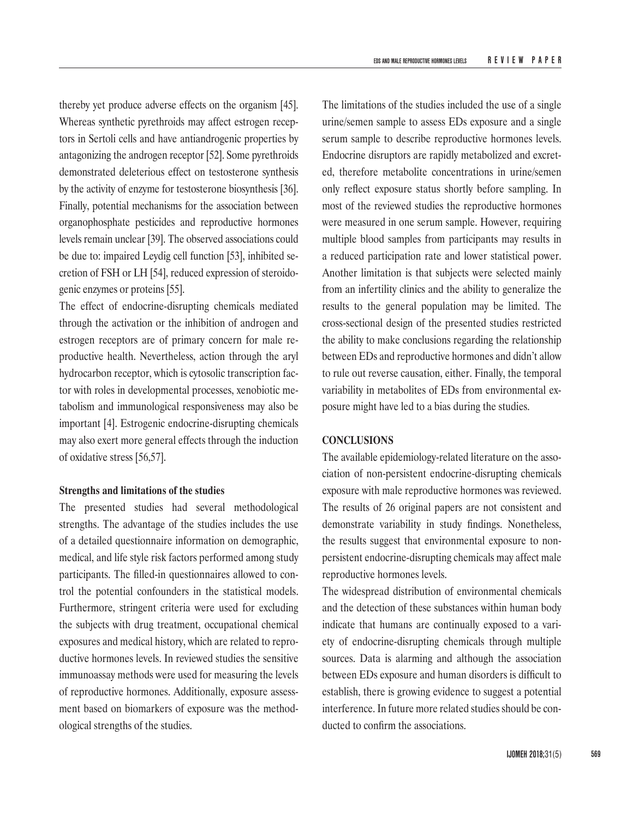thereby yet produce adverse effects on the organism [45]. Whereas synthetic pyrethroids may affect estrogen receptors in Sertoli cells and have antiandrogenic properties by antagonizing the androgen receptor [52]. Some pyrethroids demonstrated deleterious effect on testosterone synthesis by the activity of enzyme for testosterone biosynthesis [36]. Finally, potential mechanisms for the association between organophosphate pesticides and reproductive hormones levels remain unclear [39]. The observed associations could be due to: impaired Leydig cell function [53], inhibited secretion of FSH or LH [54], reduced expression of steroidogenic enzymes or proteins [55].

The effect of endocrine-disrupting chemicals mediated through the activation or the inhibition of androgen and estrogen receptors are of primary concern for male reproductive health. Nevertheless, action through the aryl hydrocarbon receptor, which is cytosolic transcription factor with roles in developmental processes, xenobiotic metabolism and immunological responsiveness may also be important [4]. Estrogenic endocrine-disrupting chemicals may also exert more general effects through the induction of oxidative stress [56,57].

#### **Strengths and limitations of the studies**

The presented studies had several methodological strengths. The advantage of the studies includes the use of a detailed questionnaire information on demographic, medical, and life style risk factors performed among study participants. The filled-in questionnaires allowed to control the potential confounders in the statistical models. Furthermore, stringent criteria were used for excluding the subjects with drug treatment, occupational chemical exposures and medical history, which are related to reproductive hormones levels. In reviewed studies the sensitive immunoassay methods were used for measuring the levels of reproductive hormones. Additionally, exposure assessment based on biomarkers of exposure was the methodological strengths of the studies.

The limitations of the studies included the use of a single urine/semen sample to assess EDs exposure and a single serum sample to describe reproductive hormones levels. Endocrine disruptors are rapidly metabolized and excreted, therefore metabolite concentrations in urine/semen only reflect exposure status shortly before sampling. In most of the reviewed studies the reproductive hormones were measured in one serum sample. However, requiring multiple blood samples from participants may results in a reduced participation rate and lower statistical power. Another limitation is that subjects were selected mainly from an infertility clinics and the ability to generalize the results to the general population may be limited. The cross-sectional design of the presented studies restricted the ability to make conclusions regarding the relationship between EDs and reproductive hormones and didn't allow to rule out reverse causation, either. Finally, the temporal variability in metabolites of EDs from environmental exposure might have led to a bias during the studies.

# **CONCLUSIONS**

The available epidemiology-related literature on the association of non-persistent endocrine-disrupting chemicals exposure with male reproductive hormones was reviewed. The results of 26 original papers are not consistent and demonstrate variability in study findings. Nonetheless, the results suggest that environmental exposure to nonpersistent endocrine-disrupting chemicals may affect male reproductive hormones levels.

The widespread distribution of environmental chemicals and the detection of these substances within human body indicate that humans are continually exposed to a variety of endocrine-disrupting chemicals through multiple sources. Data is alarming and although the association between EDs exposure and human disorders is difficult to establish, there is growing evidence to suggest a potential interference. In future more related studies should be conducted to confirm the associations.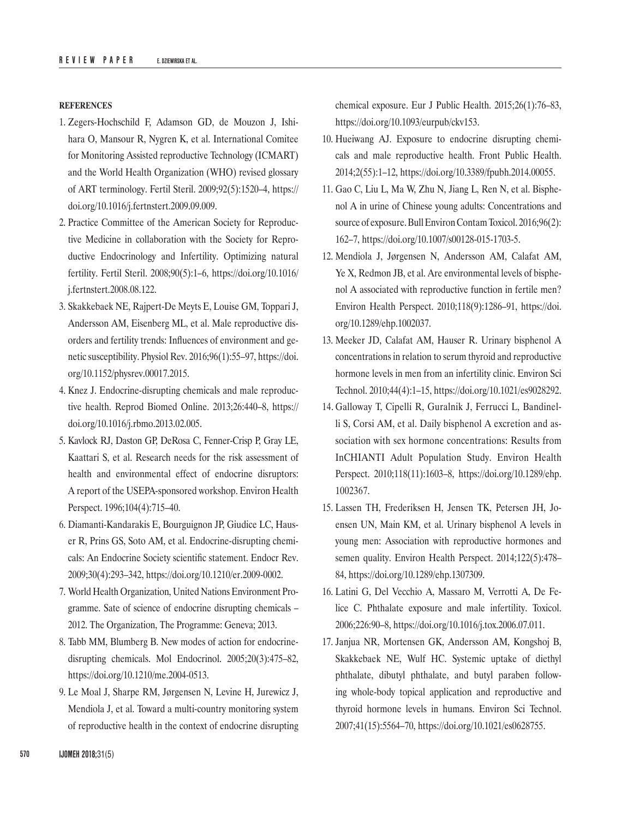#### **REFERENCES**

- 1. Zegers-Hochschild F, Adamson GD, de Mouzon J, Ishihara O, Mansour R, Nygren K, et al. International Comitee for Monitoring Assisted reproductive Technology (ICMART) and the World Health Organization (WHO) revised glossary of ART terminology. Fertil Steril. 2009;92(5):1520–4, [https://](https://doi.org/10.1016/j.fertnstert.2009.09.009) [doi.org/10.1016/j.fertnstert.2009.09.009](https://doi.org/10.1016/j.fertnstert.2009.09.009).
- 2. Practice Committee of the American Society for Reproductive Medicine in collaboration with the Society for Reproductive Endocrinology and Infertility. Optimizing natural fertility. Fertil Steril. 2008;90(5):1–6, [https://doi.org/10.1016/](https://doi.org/10.1016/j.fertnstert.2008.08.122) [j.fertnstert.2008.08.122](https://doi.org/10.1016/j.fertnstert.2008.08.122).
- 3. Skakkebaek NE, Rajpert-De Meyts E, Louise GM, Toppari J, Andersson AM, Eisenberg ML, et al. Male reproductive disorders and fertility trends: Influences of environment and genetic susceptibility. Physiol Rev. 2016;96(1):55–97, [https://doi.](https://doi.org/10.1152/physrev.00017.2015) [org/10.1152/physrev.00017.2015](https://doi.org/10.1152/physrev.00017.2015).
- 4. Knez J. Endocrine-disrupting chemicals and male reproductive health. Reprod Biomed Online. 2013;26:440–8, [https://](https://doi.org/10.1016/j.rbmo.2013.02.005) [doi.org/10.1016/j.rbmo.2013.02.005](https://doi.org/10.1016/j.rbmo.2013.02.005).
- 5. Kavlock RJ, Daston GP, DeRosa C, Fenner-Crisp P, Gray LE, Kaattari S, et al. Research needs for the risk assessment of health and environmental effect of endocrine disruptors: A report of the USEPA-sponsored workshop. Environ Health Perspect. 1996;104(4):715–40.
- 6. Diamanti-Kandarakis E, Bourguignon JP, Giudice LC, Hauser R, Prins GS, Soto AM, et al. Endocrine-disrupting chemicals: An Endocrine Society scientific statement. Endocr Rev. 2009;30(4):293–342,<https://doi.org/10.1210/er.2009-0002>.
- 7. World Health Organization, United Nations Environment Programme. Sate of science of endocrine disrupting chemicals – 2012. The Organization, The Programme: Geneva; 2013.
- 8. Tabb MM, Blumberg B. New modes of action for endocrinedisrupting chemicals. Mol Endocrinol. 2005;20(3):475–82, <https://doi.org/10.1210/me.2004-0513>.
- 9. Le Moal J, Sharpe RM, Jørgensen N, Levine H, Jurewicz J, Mendiola J, et al. Toward a multi-country monitoring system of reproductive health in the context of endocrine disrupting

chemical exposure. Eur J Public Health. 2015;26(1):76–83, <https://doi.org/10.1093/eurpub/ckv153>.

- 10. Hueiwang AJ. Exposure to endocrine disrupting chemicals and male reproductive health. Front Public Health. 2014;2(55):1–12, <https://doi.org/10.3389/fpubh.2014.00055>.
- 11. Gao C, Liu L, Ma W, Zhu N, Jiang L, Ren N, et al. Bisphenol A in urine of Chinese young adults: Concentrations and source of exposure. Bull Environ Contam Toxicol. 2016;96(2): 162–7, <https://doi.org/10.1007/s00128-015-1703-5>.
- 12. Mendiola J, Jørgensen N, Andersson AM, Calafat AM, Ye X, Redmon JB, et al. Are environmental levels of bisphenol A associated with reproductive function in fertile men? Environ Health Perspect. 2010;118(9):1286–91, [https://doi.](https://doi.org/10.1289/ehp.1002037) [org/10.1289/ehp.1002037](https://doi.org/10.1289/ehp.1002037).
- 13. Meeker JD, Calafat AM, Hauser R. Urinary bisphenol A concentrations in relation to serum thyroid and reproductive hormone levels in men from an infertility clinic. Environ Sci Technol. 2010;44(4):1–15,<https://doi.org/10.1021/es9028292>.
- 14. Galloway T, Cipelli R, Guralnik J, Ferrucci L, Bandinelli S, Corsi AM, et al. Daily bisphenol A excretion and association with sex hormone concentrations: Results from InCHIANTI Adult Population Study. Environ Health Perspect. 2010;118(11):1603–8, [https://doi.org/10.1289/ehp.](https://doi.org/10.1289/ehp.1002367) [1002367.](https://doi.org/10.1289/ehp.1002367)
- 15. Lassen TH, Frederiksen H, Jensen TK, Petersen JH, Joensen UN, Main KM, et al. Urinary bisphenol A levels in young men: Association with reproductive hormones and semen quality. Environ Health Perspect. 2014;122(5):478– 84,<https://doi.org/10.1289/ehp.1307309>.
- 16. Latini G, Del Vecchio A, Massaro M, Verrotti A, De Felice C. Phthalate exposure and male infertility. Toxicol. 2006;226:90–8,<https://doi.org/10.1016/j.tox.2006.07.011>.
- 17. Janjua NR, Mortensen GK, Andersson AM, Kongshoj B, Skakkebaek NE, Wulf HC. Systemic uptake of diethyl phthalate, dibutyl phthalate, and butyl paraben following whole-body topical application and reproductive and thyroid hormone levels in humans. Environ Sci Technol. 2007;41(15):5564–70, <https://doi.org/10.1021/es0628755>.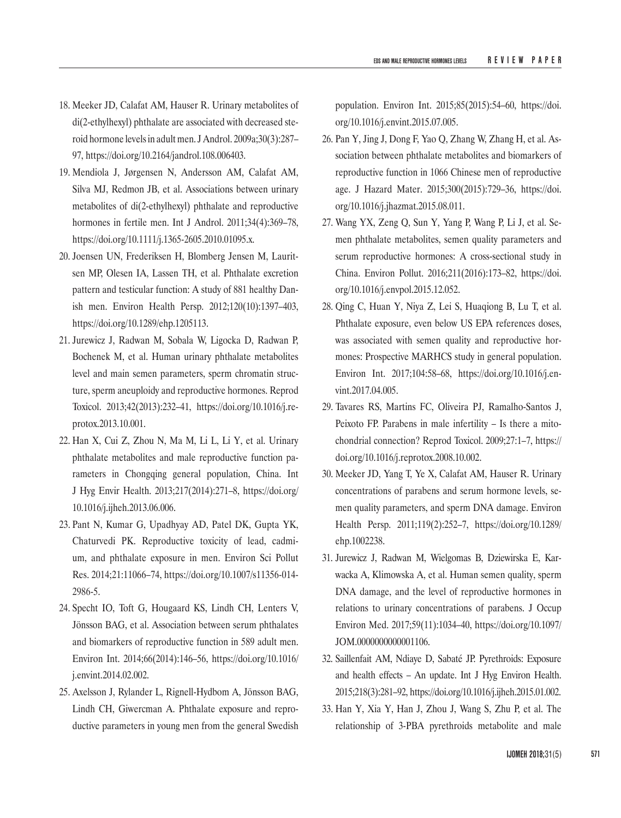- 18. Meeker JD, Calafat AM, Hauser R. Urinary metabolites of di(2-ethylhexyl) phthalate are associated with decreased steroid hormone levels in adult men. J Androl. 2009a;30(3):287– 97,<https://doi.org/10.2164/jandrol.108.006403>.
- 19. Mendiola J, Jørgensen N, Andersson AM, Calafat AM, Silva MJ, Redmon JB, et al. Associations between urinary metabolites of di(2-ethylhexyl) phthalate and reproductive hormones in fertile men. Int J Androl. 2011;34(4):369–78, <https://doi.org/10.1111/j.1365-2605.2010.01095.x>.
- 20. Joensen UN, Frederiksen H, Blomberg Jensen M, Lauritsen MP, Olesen IA, Lassen TH, et al. Phthalate excretion pattern and testicular function: A study of 881 healthy Danish men. Environ Health Persp. 2012;120(10):1397–403, <https://doi.org/10.1289/ehp.1205113>.
- 21. Jurewicz J, Radwan M, Sobala W, Ligocka D, Radwan P, Bochenek M, et al. Human urinary phthalate metabolites level and main semen parameters, sperm chromatin structure, sperm aneuploidy and reproductive hormones. Reprod Toxicol. 2013;42(2013):232–41, [https://doi.org/10.1016/j.re](https://doi.org/10.1016/j.reprotox.2013.10.001)[protox.2013.10.001.](https://doi.org/10.1016/j.reprotox.2013.10.001)
- 22. Han X, Cui Z, Zhou N, Ma M, Li L, Li Y, et al. Urinary phthalate metabolites and male reproductive function parameters in Chongqing general population, China. Int J Hyg Envir Health. 2013;217(2014):271–8, [https://doi.org/](https://doi.org/10.1016/j.ijheh.2013.06.006) [10.1016/j.ijheh.2013.06.006](https://doi.org/10.1016/j.ijheh.2013.06.006).
- 23. Pant N, Kumar G, Upadhyay AD, Patel DK, Gupta YK, Chaturvedi PK. Reproductive toxicity of lead, cadmium, and phthalate exposure in men. Environ Sci Pollut Res. 2014;21:11066–74, [https://doi.org/10.1007/s11356-014-](https://doi.org/10.1007/s11356-014-2986-5) [2986-5](https://doi.org/10.1007/s11356-014-2986-5).
- 24. Specht IO, Toft G, Hougaard KS, Lindh CH, Lenters V, Jönsson BAG, et al. Association between serum phthalates and biomarkers of reproductive function in 589 adult men. Environ Int. 2014;66(2014):146–56, [https://doi.org/10.1016/](https://doi.org/10.1016/j.envint.2014.02.002) [j.envint.2014.02.002](https://doi.org/10.1016/j.envint.2014.02.002).
- 25. Axelsson J, Rylander L, Rignell-Hydbom A, Jönsson BAG, Lindh CH, Giwercman A. Phthalate exposure and reproductive parameters in young men from the general Swedish

population. Environ Int. 2015;85(2015):54–60, [https://doi.](https://doi.org/10.1016/j.envint.2015.07.005) [org/10.1016/j.envint.2015.07.005](https://doi.org/10.1016/j.envint.2015.07.005).

- 26. Pan Y, Jing J, Dong F, Yao Q, Zhang W, Zhang H, et al. Association between phthalate metabolites and biomarkers of reproductive function in 1066 Chinese men of reproductive age. J Hazard Mater. 2015;300(2015):729–36, [https://doi.](https://doi.org/10.1016/j.jhazmat.2015.08.011) [org/10.1016/j.jhazmat.2015.08.011](https://doi.org/10.1016/j.jhazmat.2015.08.011).
- 27. Wang YX, Zeng Q, Sun Y, Yang P, Wang P, Li J, et al. Semen phthalate metabolites, semen quality parameters and serum reproductive hormones: A cross-sectional study in China. Environ Pollut. 2016;211(2016):173–82, [https://doi.](https://doi.org/10.1016/j.envpol.2015.12.052) [org/10.1016/j.envpol.2015.12.052](https://doi.org/10.1016/j.envpol.2015.12.052).
- 28. Qing C, Huan Y, Niya Z, Lei S, Huaqiong B, Lu T, et al. Phthalate exposure, even below US EPA references doses, was associated with semen quality and reproductive hormones: Prospective MARHCS study in general population. Environ Int. 2017;104:58–68, [https://doi.org/10.1016/j.en](https://doi.org/10.1016/j.envint.2017.04.005)[vint.2017.04.005](https://doi.org/10.1016/j.envint.2017.04.005).
- 29. Tavares RS, Martins FC, Oliveira PJ, Ramalho-Santos J, Peixoto FP. Parabens in male infertility – Is there a mitochondrial connection? Reprod Toxicol. 2009;27:1–7, [https://](https://doi.org/10.1016/j.reprotox.2008.10.002) [doi.org/10.1016/j.reprotox.2008.10.002](https://doi.org/10.1016/j.reprotox.2008.10.002).
- 30. Meeker JD, Yang T, Ye X, Calafat AM, Hauser R. Urinary concentrations of parabens and serum hormone levels, semen quality parameters, and sperm DNA damage. Environ Health Persp. 2011;119(2):252–7, [https://doi.org/10.1289/](https://doi.org/10.1289/ehp.1002238) [ehp.1002238](https://doi.org/10.1289/ehp.1002238).
- 31. Jurewicz J, Radwan M, Wielgomas B, Dziewirska E, Karwacka A, Klimowska A, et al. Human semen quality, sperm DNA damage, and the level of reproductive hormones in relations to urinary concentrations of parabens. J Occup Environ Med. 2017;59(11):1034–40, [https://doi.org/10.1097/](https://doi.org/10.1097/jom.0000000000001106) [JOM.0000000000001106.](https://doi.org/10.1097/jom.0000000000001106)
- 32. Saillenfait AM, Ndiaye D, Sabaté JP. Pyrethroids: Exposure and health effects – An update. Int J Hyg Environ Health. 2015;218(3):281–92,<https://doi.org/10.1016/j.ijheh.2015.01.002>.
- 33. Han Y, Xia Y, Han J, Zhou J, Wang S, Zhu P, et al. The relationship of 3-PBA pyrethroids metabolite and male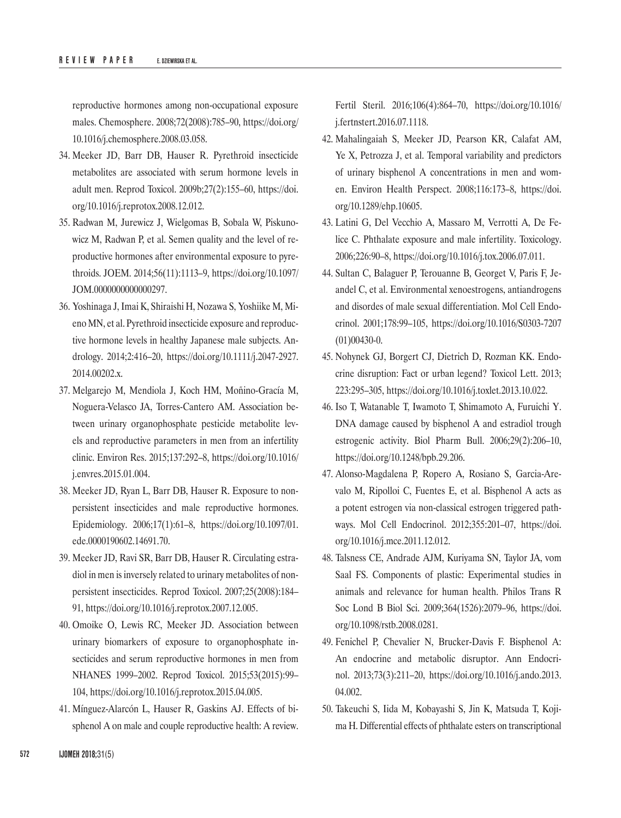reproductive hormones among non-occupational exposure males. Chemosphere. 2008;72(2008):785–90, [https://doi.org/](https://doi.org/10.1016/j.chemosphere.2008.03.058) [10.1016/j.chemosphere.2008.03.058](https://doi.org/10.1016/j.chemosphere.2008.03.058).

- 34. Meeker JD, Barr DB, Hauser R. Pyrethroid insecticide metabolites are associated with serum hormone levels in adult men. Reprod Toxicol. 2009b;27(2):155–60, [https://doi.](https://doi.org/10.1016/j.reprotox.2008.12.012) [org/10.1016/j.reprotox.2008.12.012](https://doi.org/10.1016/j.reprotox.2008.12.012).
- 35. Radwan M, Jurewicz J, Wielgomas B, Sobala W, Piskunowicz M, Radwan P, et al. Semen quality and the level of reproductive hormones after environmental exposure to pyrethroids. JOEM. 2014;56(11):1113–9, [https://doi.org/10.1097/](https://doi.org/10.1097/jom.0000000000000297) [JOM.0000000000000297](https://doi.org/10.1097/jom.0000000000000297).
- 36. Yoshinaga J, Imai K, Shiraishi H, Nozawa S, Yoshiike M, Mieno MN, et al. Pyrethroid insecticide exposure and reproductive hormone levels in healthy Japanese male subjects. Andrology. 2014;2:416–20, [https://doi.org/10.1111/j.2047-2927.](https://doi.org/10.1111/j.2047-2927.2014.00202.x) [2014.00202.x](https://doi.org/10.1111/j.2047-2927.2014.00202.x).
- 37. Melgarejo M, Mendiola J, Koch HM, Moñino-Gracía M, Noguera-Velasco JA, Torres-Cantero AM. Association between urinary organophosphate pesticide metabolite levels and reproductive parameters in men from an infertility clinic. Environ Res. 2015;137:292–8, [https://doi.org/10.1016/](https://doi.org/10.1016/j.envres.2015.01.004) [j.envres.2015.01.004](https://doi.org/10.1016/j.envres.2015.01.004).
- 38. Meeker JD, Ryan L, Barr DB, Hauser R. Exposure to nonpersistent insecticides and male reproductive hormones. Epidemiology. 2006;17(1):61–8, [https://doi.org/10.1097/01.](https://doi.org/10.1097/01.ede.0000190602.14691.70) [ede.0000190602.14691.70](https://doi.org/10.1097/01.ede.0000190602.14691.70).
- 39. Meeker JD, Ravi SR, Barr DB, Hauser R. Circulating estradiol in men is inversely related to urinary metabolites of nonpersistent insecticides. Reprod Toxicol. 2007;25(2008):184– 91,<https://doi.org/10.1016/j.reprotox.2007.12.005>.
- 40. Omoike O, Lewis RC, Meeker JD. Association between urinary biomarkers of exposure to organophosphate insecticides and serum reproductive hormones in men from NHANES 1999–2002. Reprod Toxicol. 2015;53(2015):99– 104,<https://doi.org/10.1016/j.reprotox.2015.04.005>.
- 41. Mínguez-Alarcón L, Hauser R, Gaskins AJ. Effects of bisphenol A on male and couple reproductive health: A review.

Fertil Steril. 2016;106(4):864–70, [https://doi.org/10.1016/](https://doi.org/10.1016/j.fertnstert.2016.07.1118) [j.fertnstert.2016.07.1118.](https://doi.org/10.1016/j.fertnstert.2016.07.1118)

- 42. Mahalingaiah S, Meeker JD, Pearson KR, Calafat AM, Ye X, Petrozza J, et al. Temporal variability and predictors of urinary bisphenol A concentrations in men and women. Environ Health Perspect. 2008;116:173–8, [https://doi.](https://doi.org/10.1289/ehp.10605) [org/10.1289/ehp.10605](https://doi.org/10.1289/ehp.10605).
- 43. Latini G, Del Vecchio A, Massaro M, Verrotti A, De Felice C. Phthalate exposure and male infertility. Toxicology. 2006;226:90–8,<https://doi.org/10.1016/j.tox.2006.07.011>.
- 44. Sultan C, Balaguer P, Terouanne B, Georget V, Paris F, Jeandel C, et al. Environmental xenoestrogens, antiandrogens and disordes of male sexual differentiation. Mol Cell Endocrinol. 2001;178:99–105, [https://doi.org/10.1016/S0303-7207](https://doi.org/10.1016/s0303-7207(01)00430-0) [\(01\)00430-0](https://doi.org/10.1016/s0303-7207(01)00430-0).
- 45. Nohynek GJ, Borgert CJ, Dietrich D, Rozman KK. Endocrine disruption: Fact or urban legend? Toxicol Lett. 2013; 223:295–305, <https://doi.org/10.1016/j.toxlet.2013.10.022>.
- 46. Iso T, Watanable T, Iwamoto T, Shimamoto A, Furuichi Y. DNA damage caused by bisphenol A and estradiol trough estrogenic activity. Biol Pharm Bull. 2006;29(2):206–10, <https://doi.org/10.1248/bpb.29.206>.
- 47. Alonso-Magdalena P, Ropero A, Rosiano S, Garcia-Arevalo M, Ripolloi C, Fuentes E, et al. Bisphenol A acts as a potent estrogen via non-classical estrogen triggered pathways. Mol Cell Endocrinol. 2012;355:201–07, [https://doi.](https://doi.org/10.1016/j.mce.2011.12.012) [org/10.1016/j.mce.2011.12.012](https://doi.org/10.1016/j.mce.2011.12.012).
- 48. Talsness CE, Andrade AJM, Kuriyama SN, Taylor JA, vom Saal FS. Components of plastic: Experimental studies in animals and relevance for human health. Philos Trans R Soc Lond B Biol Sci. 2009;364(1526):2079–96, [https://doi.](https://doi.org/10.1098/rstb.2008.0281) [org/10.1098/rstb.2008.0281](https://doi.org/10.1098/rstb.2008.0281).
- 49. Fenichel P, Chevalier N, Brucker-Davis F. Bisphenol A: An endocrine and metabolic disruptor. Ann Endocrinol. 2013;73(3):211–20, [https://doi.org/10.1016/j.ando.2013.](https://doi.org/10.1016/j.ando.2013.04.002) [04.002](https://doi.org/10.1016/j.ando.2013.04.002).
- 50. Takeuchi S, Iida M, Kobayashi S, Jin K, Matsuda T, Kojima H. Differential effects of phthalate esters on transcriptional